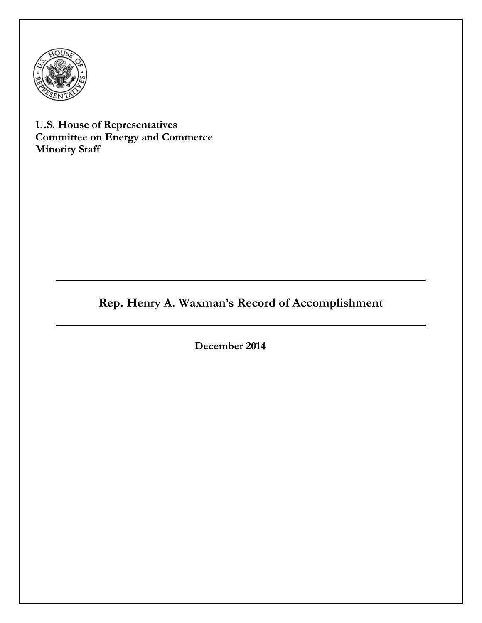

**U.S. House of Representatives Committee on Energy and Commerce Minority Staff**

# **Rep. Henry A. Waxman's Record of Accomplishment**

**December 2014**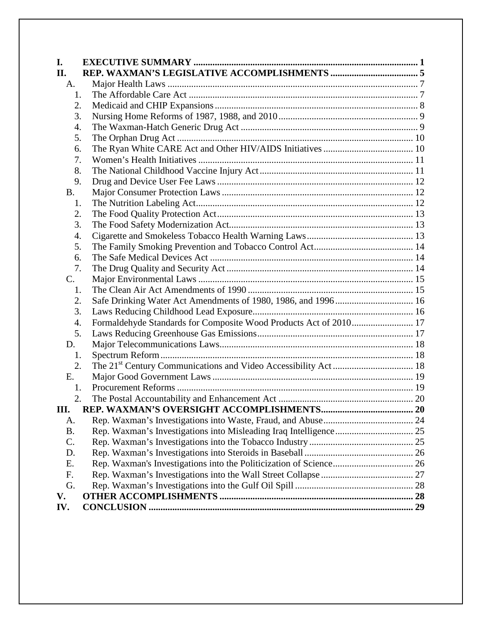| I.              |                                                                   |  |
|-----------------|-------------------------------------------------------------------|--|
| II.             |                                                                   |  |
| A.              |                                                                   |  |
| 1.              |                                                                   |  |
| 2.              |                                                                   |  |
| 3.              |                                                                   |  |
| 4.              |                                                                   |  |
| 5.              |                                                                   |  |
| 6.              |                                                                   |  |
| 7.              |                                                                   |  |
| 8.              |                                                                   |  |
| 9.              |                                                                   |  |
| <b>B.</b>       |                                                                   |  |
| 1.              |                                                                   |  |
| 2.              |                                                                   |  |
| 3.              |                                                                   |  |
| 4.              |                                                                   |  |
| 5.              |                                                                   |  |
| 6.              |                                                                   |  |
| 7.              |                                                                   |  |
| C.              |                                                                   |  |
| 1.              |                                                                   |  |
| 2.              | Safe Drinking Water Act Amendments of 1980, 1986, and 1996 16     |  |
| 3.              |                                                                   |  |
| 4.              | Formaldehyde Standards for Composite Wood Products Act of 2010 17 |  |
| 5.              |                                                                   |  |
| D.              |                                                                   |  |
| 1.              |                                                                   |  |
| 2.              |                                                                   |  |
| E.              |                                                                   |  |
| 1.              |                                                                   |  |
| 2.              |                                                                   |  |
| Ш.              |                                                                   |  |
| A.              |                                                                   |  |
| <b>B.</b>       |                                                                   |  |
| $\mathcal{C}$ . |                                                                   |  |
| D.              |                                                                   |  |
| Ε.              |                                                                   |  |
| F.              |                                                                   |  |
| G.              |                                                                   |  |
| V.              |                                                                   |  |
| IV.             |                                                                   |  |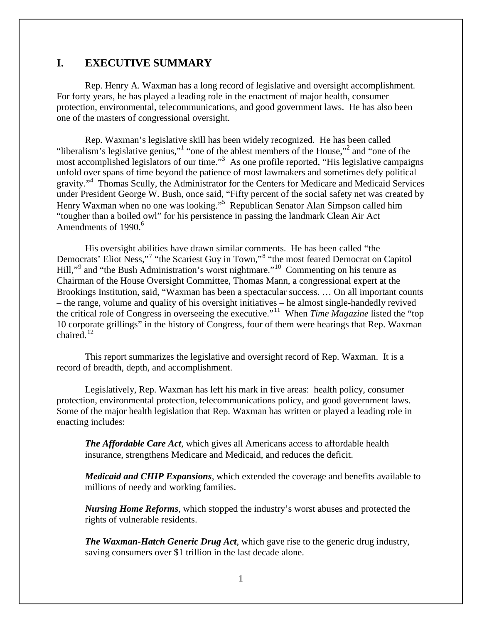## <span id="page-2-0"></span>**I. EXECUTIVE SUMMARY**

Rep. Henry A. Waxman has a long record of legislative and oversight accomplishment. For forty years, he has played a leading role in the enactment of major health, consumer protection, environmental, telecommunications, and good government laws. He has also been one of the masters of congressional oversight.

Rep. Waxman's legislative skill has been widely recognized. He has been called "liberalism's legislative genius,"<sup>[1](#page-34-0)</sup> "on[e](#page-34-2) of the ablest members of the House,"<sup>[2](#page-34-1)</sup> and "one of the most accomplished legislators of our time."<sup>3</sup> As one profile reported, "His legislative campaigns unfold over spans of time beyond the patience of most lawmakers and sometimes defy political gravity."<sup>4</sup> Thomas Sc[ul](#page-34-3)ly, the Administrator for the Centers for Medicare and Medicaid Services under President George W. Bush, once said, "Fifty percent of the social safety net was created by Henry Waxman when no one was looking."<sup>5</sup> Republican Sena[to](#page-34-4)r Alan Simpson called him "tougher than a boiled owl" for his p[er](#page-34-5)sistence in passing the landmark Clean Air Act Amendments of 1990.<sup>6</sup>

His oversight abilities have drawn similar comments. He has been called "the Democrats' Eliot Ness,"[7](#page-34-6) "the Scariest Guy in Town,"[8](#page-34-7) "the most feared Democrat on Capitol Hill,"<sup>[9](#page-34-8)</sup> and "the Bush Administration's worst nightmare."<sup>[10](#page-34-9)</sup> Commenting on his tenure as Chairman of the House Oversight Committee, Thomas Mann, a congressional expert at the Brookings Institution, said, "Waxman has been a spectacular success. … On all important counts – the range, volume and quality of his oversight initiatives – he almost single-handedly revived the critical role of Congress in overseeing the executive."[11](#page-34-10) When *Time Magazine* listed the "top 10 corporate grillings" in the history of Congress, four of them were hearings that Rep. Waxman  $chaired<sup>12</sup>$  $chaired<sup>12</sup>$  $chaired<sup>12</sup>$ 

This report summarizes the legislative and oversight record of Rep. Waxman. It is a record of breadth, depth, and accomplishment.

Legislatively, Rep. Waxman has left his mark in five areas: health policy, consumer protection, environmental protection, telecommunications policy, and good government laws. Some of the major health legislation that Rep. Waxman has written or played a leading role in enacting includes:

*The Affordable Care Act*, which gives all Americans access to affordable health insurance, strengthens Medicare and Medicaid, and reduces the deficit.

*Medicaid and CHIP Expansions*, which extended the coverage and benefits available to millions of needy and working families.

*Nursing Home Reforms*, which stopped the industry's worst abuses and protected the rights of vulnerable residents.

*The Waxman-Hatch Generic Drug Act*, which gave rise to the generic drug industry, saving consumers over \$1 trillion in the last decade alone.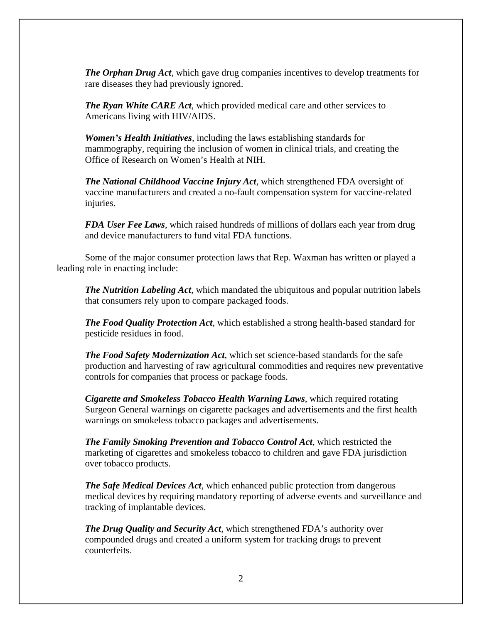*The Orphan Drug Act*, which gave drug companies incentives to develop treatments for rare diseases they had previously ignored.

*The Ryan White CARE Act*, which provided medical care and other services to Americans living with HIV/AIDS.

*Women's Health Initiatives,* including the laws establishing standards for mammography, requiring the inclusion of women in clinical trials, and creating the Office of Research on Women's Health at NIH.

*The National Childhood Vaccine Injury Act*, which strengthened FDA oversight of vaccine manufacturers and created a no-fault compensation system for vaccine-related injuries.

*FDA User Fee Laws*, which raised hundreds of millions of dollars each year from drug and device manufacturers to fund vital FDA functions.

Some of the major consumer protection laws that Rep. Waxman has written or played a leading role in enacting include:

*The Nutrition Labeling Act*, which mandated the ubiquitous and popular nutrition labels that consumers rely upon to compare packaged foods.

*The Food Quality Protection Act*, which established a strong health-based standard for pesticide residues in food.

*The Food Safety Modernization Act*, which set science-based standards for the safe production and harvesting of raw agricultural commodities and requires new preventative controls for companies that process or package foods.

*Cigarette and Smokeless Tobacco Health Warning Laws*, which required rotating Surgeon General warnings on cigarette packages and advertisements and the first health warnings on smokeless tobacco packages and advertisements.

*The Family Smoking Prevention and Tobacco Control Act*, which restricted the marketing of cigarettes and smokeless tobacco to children and gave FDA jurisdiction over tobacco products.

*The Safe Medical Devices Act*, which enhanced public protection from dangerous medical devices by requiring mandatory reporting of adverse events and surveillance and tracking of implantable devices.

*The Drug Quality and Security Act*, which strengthened FDA's authority over compounded drugs and created a uniform system for tracking drugs to prevent counterfeits.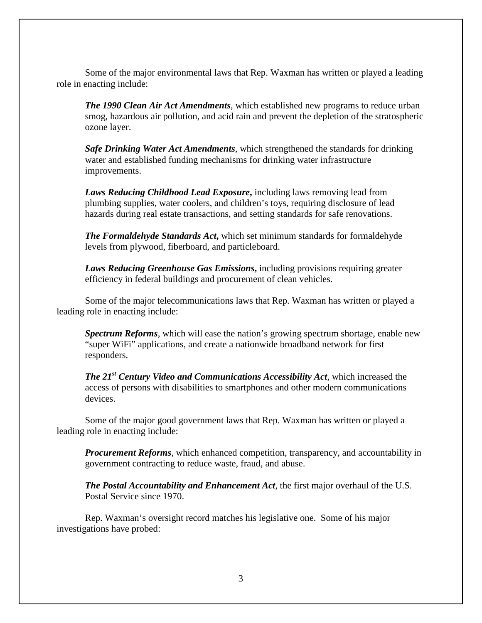Some of the major environmental laws that Rep. Waxman has written or played a leading role in enacting include:

*The 1990 Clean Air Act Amendments*, which established new programs to reduce urban smog, hazardous air pollution, and acid rain and prevent the depletion of the stratospheric ozone layer.

*Safe Drinking Water Act Amendments*, which strengthened the standards for drinking water and established funding mechanisms for drinking water infrastructure improvements.

*Laws Reducing Childhood Lead Exposure***,** including laws removing lead from plumbing supplies, water coolers, and children's toys, requiring disclosure of lead hazards during real estate transactions, and setting standards for safe renovations.

*The Formaldehyde Standards Act***,** which set minimum standards for formaldehyde levels from plywood, fiberboard, and particleboard.

*Laws Reducing Greenhouse Gas Emissions***,** including provisions requiring greater efficiency in federal buildings and procurement of clean vehicles.

Some of the major telecommunications laws that Rep. Waxman has written or played a leading role in enacting include:

*Spectrum Reforms*, which will ease the nation's growing spectrum shortage, enable new "super WiFi" applications, and create a nationwide broadband network for first responders.

*The 21st Century Video and Communications Accessibility Act*, which increased the access of persons with disabilities to smartphones and other modern communications devices.

Some of the major good government laws that Rep. Waxman has written or played a leading role in enacting include:

*Procurement Reforms*, which enhanced competition, transparency, and accountability in government contracting to reduce waste, fraud, and abuse.

*The Postal Accountability and Enhancement Act*, the first major overhaul of the U.S. Postal Service since 1970.

Rep. Waxman's oversight record matches his legislative one. Some of his major investigations have probed: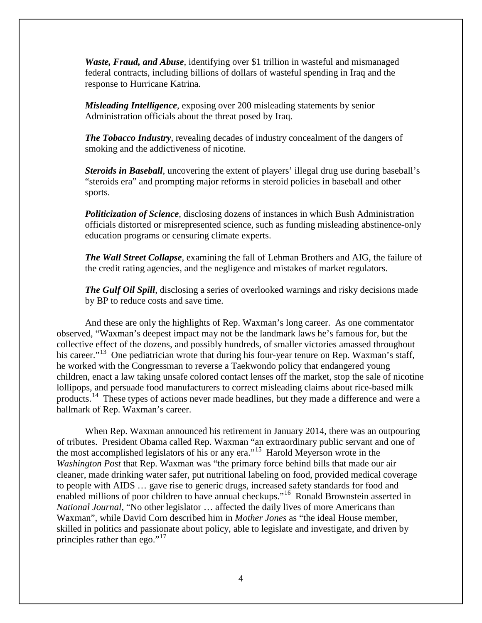*Waste, Fraud, and Abuse*, identifying over \$1 trillion in wasteful and mismanaged federal contracts, including billions of dollars of wasteful spending in Iraq and the response to Hurricane Katrina.

*Misleading Intelligence*, exposing over 200 misleading statements by senior Administration officials about the threat posed by Iraq.

*The Tobacco Industry*, revealing decades of industry concealment of the dangers of smoking and the addictiveness of nicotine.

*Steroids in Baseball*, uncovering the extent of players' illegal drug use during baseball's "steroids era" and prompting major reforms in steroid policies in baseball and other sports.

*Politicization of Science*, disclosing dozens of instances in which Bush Administration officials distorted or misrepresented science, such as funding misleading abstinence-only education programs or censuring climate experts.

*The Wall Street Collapse*, examining the fall of Lehman Brothers and AIG, the failure of the credit rating agencies, and the negligence and mistakes of market regulators.

*The Gulf Oil Spill*, disclosing a series of overlooked warnings and risky decisions made by BP to reduce costs and save time.

And these are only the highlights of Rep. Waxman's long career. As one commentator observed, "Waxman's deepest impact may not be the landmark laws he's famous for, but the collective effect of the dozens, and possibly hundreds, of smaller victories amassed throughout his career."<sup>[13](#page-34-12)</sup> One pediatrician wrote that during his four-year tenure on Rep. Waxman's staff, he worked with the Congressman to reverse a Taekwondo policy that endangered young children, enact a law taking unsafe colored contact lenses off the market, stop the sale of nicotine lollipops, and persuade food manufacturers to correct misleading claims about rice-based milk products.[14](#page-34-13) These types of actions never made headlines, but they made a difference and were a hallmark of Rep. Waxman's career.

When Rep. Waxman announced his retirement in January 2014, there was an outpouring of tributes. President Obama called Rep. Waxman "an extraordinary public servant and one of the most accomplished legislators of his or any era."[15](#page-34-14) Harold Meyerson wrote in the *Washington Post* that Rep. Waxman was "the primary force behind bills that made our air cleaner, made drinking water safer, put nutritional labeling on food, provided medical coverage to people with AIDS … gave rise to generic drugs, increased safety standards for food and enabled millions of poor children to have annual checkups."[16](#page-34-15) Ronald Brownstein asserted in *National Journal*, "No other legislator … affected the daily lives of more Americans than Waxman", while David Corn described him in *Mother Jones* as "the ideal House member, skilled in politics and passionate about policy, able to legislate and investigate, and driven by principles rather than ego."<sup>[17](#page-34-16)</sup>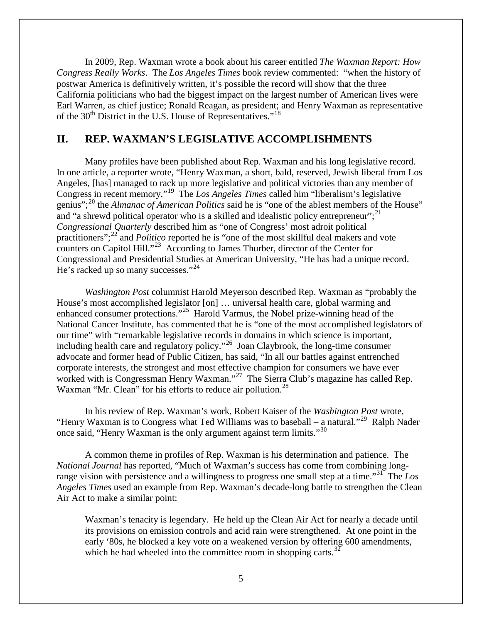In 2009, Rep. Waxman wrote a book about his career entitled *The Waxman Report: How Congress Really Works*. The *Los Angeles Times* book review commented: "when the history of postwar America is definitively written, it's possible the record will show that the three California politicians who had the biggest impact on the largest number of American lives were Earl Warren, as chief justice; Ronald Reagan, as president; and Henry Waxman as representative of the  $30<sup>th</sup>$  District in the U.S. House of Representatives."<sup>18</sup>

## <span id="page-6-0"></span>**II. REP. WAXMAN'S LEGISLATIVE ACCOMPLISHMENTS**

Many profiles have been published about Rep. Waxman and his long legislative record. In one article, a reporter wrote, "Henry Waxman, a short, bald, reserved, Jewish liberal from Los Angeles, [has] managed to rack up more legislative and political victories than any member of Congress in recent memory."[19](#page-35-1) The *Los Angeles Times* called him "liberalism's legislative genius";[20](#page-35-2) the *Almanac of American Politics* said he is "one of the ablest members of the House" and "a shrewd political operator who is a skilled and idealistic policy entrepreneur";  $^{21}$  $^{21}$  $^{21}$ *Congressional Quarterly* described him as "one of Congress' most adroit political practitioners";<sup>[22](#page-35-4)</sup> and *Politico* reported he is "one of the most skillful deal makers and vote counters on Capitol Hill."[23](#page-35-5) According to James Thurber, director of the Center for Congressional and Presidential Studies at American University, "He has had a unique record. He's racked up so many successes."<sup>[24](#page-35-6)</sup>

*Washington Post* columnist Harold Meyerson described Rep. Waxman as "probably the House's most accomplished legislator [on] … universal health care, global warming and enhanced consumer protections."[25](#page-35-7) Harold Varmus, the Nobel prize-winning head of the National Cancer Institute, has commented that he is "one of the most accomplished legislators of our time" with "remarkable legislative records in domains in which science is important, including health care and regulatory policy."[26](#page-35-8) Joan Claybrook, the long-time consumer advocate and former head of Public Citizen, has said, "In all our battles against entrenched corporate interests, the strongest and most effective champion for consumers we have ever worked with is Congressman Henry Waxman."<sup>[27](#page-35-9)</sup> The Sierra Club's magazine has called Rep. Waxman "Mr. Clean" for his efforts to reduce air pollution.<sup>28</sup>

In his review of Rep. Waxman's work, Robert Kaiser of the *Washington Post* wrote, "Henry Waxman is to Congress what Ted Williams was to baseball – a natural."<sup>[29](#page-35-11)</sup> Ralph Nader once said, "Henry Waxman is the only argument against term limits."<sup>[30](#page-35-12)</sup>

A common theme in profiles of Rep. Waxman is his determination and patience. The *National Journal* has reported, "Much of Waxman's success has come from combining longrange vision with persistence and a willingness to progress one small step at a time."[31](#page-35-13) The *Los Angeles Times* used an example from Rep. Waxman's decade-long battle to strengthen the Clean Air Act to make a similar point:

Waxman's tenacity is legendary. He held up the Clean Air Act for nearly a decade until its provisions on emission controls and acid rain were strengthened. At one point in the early '80s, he blocked a key vote on a weakened version by offering 600 amendments, which he had wheeled into the committee room in shopping carts.<sup>[32](#page-35-14)</sup>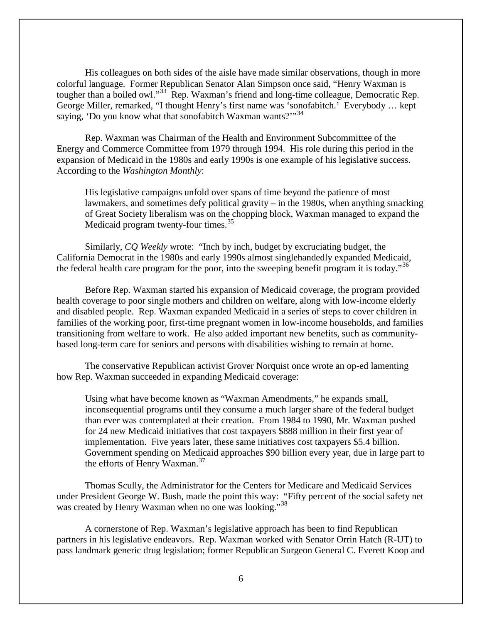His colleagues on both sides of the aisle have made similar observations, though in more colorful language. Former Republican Senator Alan Simpson once said, "Henry Waxman is tougher than a boiled owl."<sup>33</sup> Rep. Waxman's friend and long-time colleague, Democratic Rep. George Miller, remarked, "I thought Henry's first name was 'sonofabitch.' Everybody … kept saying, 'Do you know what that sonofabitch Waxman wants?'"<sup>[34](#page-36-1)</sup>

Rep. Waxman was Chairman of the Health and Environment Subcommittee of the Energy and Commerce Committee from 1979 through 1994. His role during this period in the expansion of Medicaid in the 1980s and early 1990s is one example of his legislative success. According to the *Washington Monthly*:

His legislative campaigns unfold over spans of time beyond the patience of most lawmakers, and sometimes defy political gravity – in the 1980s, when anything smacking of Great Society liberalism was on the chopping block, Waxman managed to expand the Medicaid program twenty-four times.<sup>[35](#page-36-2)</sup>

Similarly, *CQ Weekly* wrote: "Inch by inch, budget by excruciating budget, the California Democrat in the 1980s and early 1990s almost singlehandedly expanded Medicaid, the federal health care program for the poor, into the sweeping benefit program it is today."<sup>[36](#page-36-3)</sup>

Before Rep. Waxman started his expansion of Medicaid coverage, the program provided health coverage to poor single mothers and children on welfare, along with low-income elderly and disabled people. Rep. Waxman expanded Medicaid in a series of steps to cover children in families of the working poor, first-time pregnant women in low-income households, and families transitioning from welfare to work. He also added important new benefits, such as communitybased long-term care for seniors and persons with disabilities wishing to remain at home.

The conservative Republican activist Grover Norquist once wrote an op-ed lamenting how Rep. Waxman succeeded in expanding Medicaid coverage:

Using what have become known as "Waxman Amendments," he expands small, inconsequential programs until they consume a much larger share of the federal budget than ever was contemplated at their creation. From 1984 to 1990, Mr. Waxman pushed for 24 new Medicaid initiatives that cost taxpayers \$888 million in their first year of implementation. Five years later, these same initiatives cost taxpayers \$5.4 billion. Government spending on Medicaid approaches \$90 billion every year, due in large part to the efforts of Henry Waxman.<sup>[37](#page-36-4)</sup>

Thomas Scully, the Administrator for the Centers for Medicare and Medicaid Services under President George W. Bush, made the point this way: "Fifty percent of the social safety net was created by Henry Waxman when no one was looking."<sup>[38](#page-36-5)</sup>

A cornerstone of Rep. Waxman's legislative approach has been to find Republican partners in his legislative endeavors. Rep. Waxman worked with Senator Orrin Hatch (R-UT) to pass landmark generic drug legislation; former Republican Surgeon General C. Everett Koop and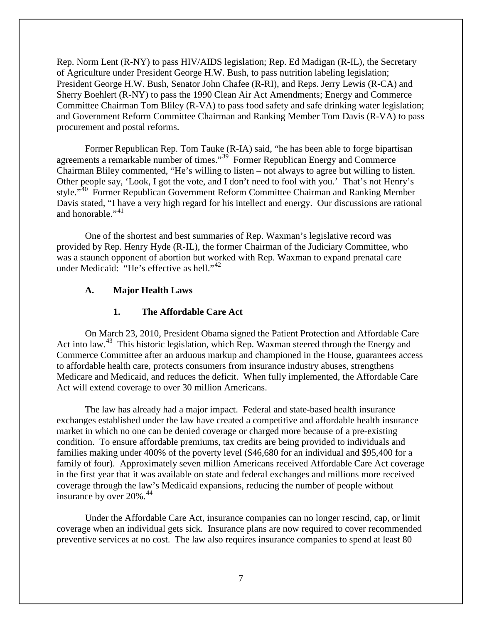Rep. Norm Lent (R-NY) to pass HIV/AIDS legislation; Rep. Ed Madigan (R-IL), the Secretary of Agriculture under President George H.W. Bush, to pass nutrition labeling legislation; President George H.W. Bush, Senator John Chafee (R-RI), and Reps. Jerry Lewis (R-CA) and Sherry Boehlert (R-NY) to pass the 1990 Clean Air Act Amendments; Energy and Commerce Committee Chairman Tom Bliley (R-VA) to pass food safety and safe drinking water legislation; and Government Reform Committee Chairman and Ranking Member Tom Davis (R-VA) to pass procurement and postal reforms.

Former Republican Rep. Tom Tauke (R-IA) said, "he has been able to forge bipartisan agreements a remarkable number of times."<sup>39</sup> Former Republican Energy and Commerce Chairman Bliley commented, "He's willing to listen – not always to agree but willing to listen. Other people say, 'Look, I got the vote, and I don't need to fool with you.' That's not Henry's style."<sup>40</sup> Former Republican Government Reform Committee Chairman and Ranking Member Davis stated, "I have a very high regard for his intellect and energy. Our discussions are rational and honorable." $^{41}$  $^{41}$  $^{41}$ 

One of the shortest and best summaries of Rep. Waxman's legislative record was provided by Rep. Henry Hyde (R-IL), the former Chairman of the Judiciary Committee, who was a staunch opponent of abortion but worked with Rep. Waxman to expand prenatal care under Medicaid: "He's effective as hell."<sup>[42](#page-37-3)</sup>

#### <span id="page-8-0"></span>**A. Major Health Laws**

#### **1. The Affordable Care Act**

<span id="page-8-1"></span>On March 23, 2010, President Obama signed the Patient Protection and Affordable Care Act into law.<sup>[43](#page-37-4)</sup> This historic legislation, which Rep. Waxman steered through the Energy and Commerce Committee after an arduous markup and championed in the House, guarantees access to affordable health care, protects consumers from insurance industry abuses, strengthens Medicare and Medicaid, and reduces the deficit. When fully implemented, the Affordable Care Act will extend coverage to over 30 million Americans.

The law has already had a major impact. Federal and state-based health insurance exchanges established under the law have created a competitive and affordable health insurance market in which no one can be denied coverage or charged more because of a pre-existing condition. To ensure affordable premiums, tax credits are being provided to individuals and families making under 400% of the poverty level (\$46,680 for an individual and \$95,400 for a family of four). Approximately seven million Americans received Affordable Care Act coverage in the first year that it was available on state and federal exchanges and millions more received coverage through the law's Medicaid expansions, reducing the number of people without insurance by over  $20\%$ .<sup>[44](#page-37-5)</sup>

Under the Affordable Care Act, insurance companies can no longer rescind, cap, or limit coverage when an individual gets sick. Insurance plans are now required to cover recommended preventive services at no cost. The law also requires insurance companies to spend at least 80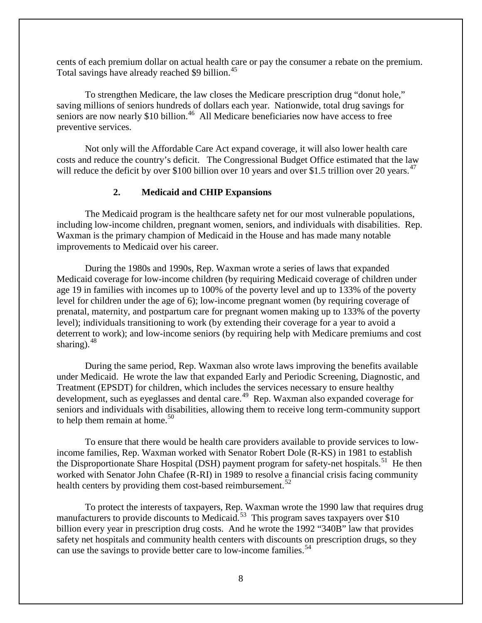cents of each premium dollar on actual health care or pay the consumer a rebate on the premium. Total savings have already reached \$9 billion.<sup>[45](#page-38-0)</sup>

To strengthen Medicare, the law closes the Medicare prescription drug "donut hole," saving millions of seniors hundreds of dollars each year. Nationwide, total drug savings for seniors are now nearly \$10 billion.<sup>[46](#page-38-1)</sup> All Medicare beneficiaries now have access to free preventive services.

Not only will the Affordable Care Act expand coverage, it will also lower health care costs and reduce the country's deficit. The Congressional Budget Office estimated that the law will reduce the deficit by over \$100 billion over 10 years and over \$1.5 trillion over 20 years.<sup>[47](#page-38-2)</sup>

#### **2. Medicaid and CHIP Expansions**

<span id="page-9-0"></span>The Medicaid program is the healthcare safety net for our most vulnerable populations, including low-income children, pregnant women, seniors, and individuals with disabilities. Rep. Waxman is the primary champion of Medicaid in the House and has made many notable improvements to Medicaid over his career.

During the 1980s and 1990s, Rep. Waxman wrote a series of laws that expanded Medicaid coverage for low-income children (by requiring Medicaid coverage of children under age 19 in families with incomes up to 100% of the poverty level and up to 133% of the poverty level for children under the age of 6); low-income pregnant women (by requiring coverage of prenatal, maternity, and postpartum care for pregnant women making up to 133% of the poverty level); individuals transitioning to work (by extending their coverage for a year to avoid a deterrent to work); and low-income seniors (by requiring help with Medicare premiums and cost sharing). $48$ 

During the same period, Rep. Waxman also wrote laws improving the benefits available under Medicaid. He wrote the law that expanded Early and Periodic Screening, Diagnostic, and Treatment (EPSDT) for children, which includes the services necessary to ensure healthy development, such as eyeglasses and dental care.<sup>49</sup> Rep. Waxman also expanded coverage for seniors and individuals with disabilities, allowing them to receive long term-community support to help them remain at home.<sup>[50](#page-38-5)</sup>

To ensure that there would be health care providers available to provide services to lowincome families, Rep. Waxman worked with Senator Robert Dole (R-KS) in 1981 to establish the Disproportionate Share Hospital (DSH) payment program for safety-net hospitals.<sup>51</sup> He then worked with Senator John Chafee (R-RI) in 1989 to resolve a financial crisis facing community health centers by providing them cost-based reimbursement.<sup>[52](#page-38-7)</sup>

To protect the interests of taxpayers, Rep. Waxman wrote the 1990 law that requires drug manufacturers to provide discounts to Medicaid.<sup>[53](#page-38-8)</sup> This program saves taxpayers over \$10 billion every year in prescription drug costs. And he wrote the 1992 "340B" law that provides safety net hospitals and community health centers with discounts on prescription drugs, so they can use the savings to provide better care to low-income families.<sup>[54](#page-38-9)</sup>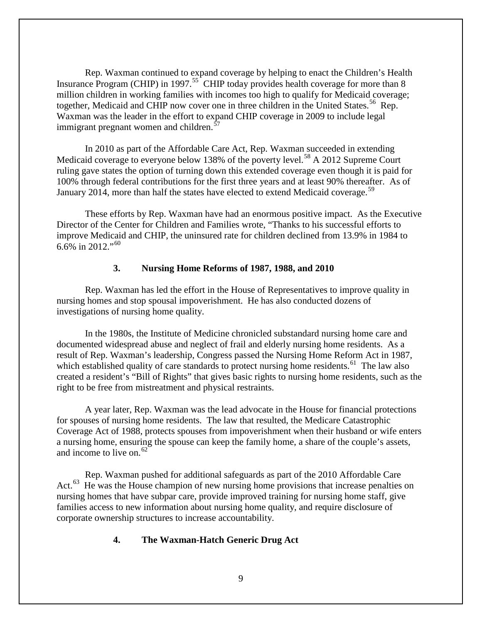Rep. Waxman continued to expand coverage by helping to enact the Children's Health Insurance Program (CHIP) in 1997.<sup>[55](#page-39-0)</sup> CHIP today provides health coverage for more than 8 million children in working families with incomes too high to qualify for Medicaid coverage; together, Medicaid and CHIP now cover one in three children in the United States.<sup>56</sup> Rep. Waxman was the leader in the effort to expand CHIP coverage in 2009 to include legal immigrant pregnant women and children. $57$ 

In 2010 as part of the Affordable Care Act, Rep. Waxman succeeded in extending Medicaid coverage to everyone below 138% of the poverty level.<sup>[58](#page-39-3)</sup> A 2012 Supreme Court ruling gave states the option of turning down this extended coverage even though it is paid for 100% through federal contributions for the first three years and at least 90% thereafter. As of January 2014, more than half the states have elected to extend Medicaid coverage.<sup>[59](#page-39-4)</sup>

These efforts by Rep. Waxman have had an enormous positive impact. As the Executive Director of the Center for Children and Families wrote, "Thanks to his successful efforts to improve Medicaid and CHIP, the uninsured rate for children declined from 13.9% in 1984 to 6.6% in 2012."<sup>[60](#page-39-5)</sup>

#### **3. Nursing Home Reforms of 1987, 1988, and 2010**

<span id="page-10-0"></span>Rep. Waxman has led the effort in the House of Representatives to improve quality in nursing homes and stop spousal impoverishment. He has also conducted dozens of investigations of nursing home quality.

In the 1980s, the Institute of Medicine chronicled substandard nursing home care and documented widespread abuse and neglect of frail and elderly nursing home residents. As a result of Rep. Waxman's leadership, Congress passed the Nursing Home Reform Act in 1987, which established quality of care standards to protect nursing home residents.<sup>[61](#page-39-6)</sup> The law also created a resident's "Bill of Rights" that gives basic rights to nursing home residents, such as the right to be free from mistreatment and physical restraints.

A year later, Rep. Waxman was the lead advocate in the House for financial protections for spouses of nursing home residents. The law that resulted, the Medicare Catastrophic Coverage Act of 1988, protects spouses from impoverishment when their husband or wife enters a nursing home, ensuring the spouse can keep the family home, a share of the couple's assets, and income to live on.  $62$ 

Rep. Waxman pushed for additional safeguards as part of the 2010 Affordable Care Act.<sup>[63](#page-39-8)</sup> He was the House champion of new nursing home provisions that increase penalties on nursing homes that have subpar care, provide improved training for nursing home staff, give families access to new information about nursing home quality, and require disclosure of corporate ownership structures to increase accountability.

#### <span id="page-10-1"></span>**4. The Waxman-Hatch Generic Drug Act**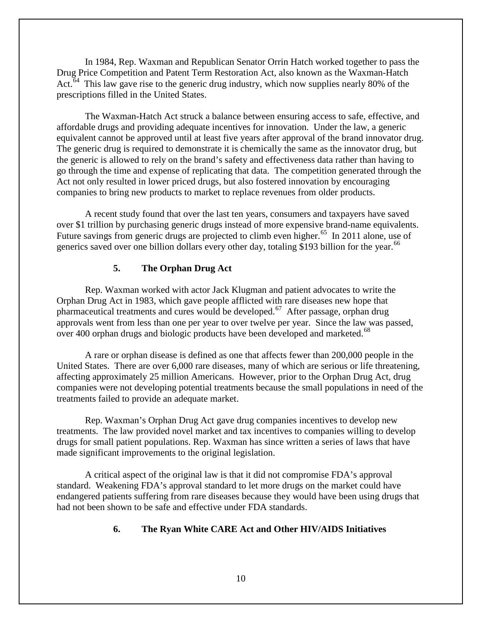In 1984, Rep. Waxman and Republican Senator Orrin Hatch worked together to pass the Drug Price Competition and Patent Term Restoration Act, also known as the Waxman-Hatch Act.<sup> $64$ </sup> This law gave rise to the generic drug industry, which now supplies nearly 80% of the prescriptions filled in the United States.

The Waxman-Hatch Act struck a balance between ensuring access to safe, effective, and affordable drugs and providing adequate incentives for innovation. Under the law, a generic equivalent cannot be approved until at least five years after approval of the brand innovator drug. The generic drug is required to demonstrate it is chemically the same as the innovator drug, but the generic is allowed to rely on the brand's safety and effectiveness data rather than having to go through the time and expense of replicating that data. The competition generated through the Act not only resulted in lower priced drugs, but also fostered innovation by encouraging companies to bring new products to market to replace revenues from older products.

A recent study found that over the last ten years, consumers and taxpayers have saved over \$1 trillion by purchasing generic drugs instead of more expensive brand-name equivalents. Future savings from generic drugs are projected to climb even higher.<sup>65</sup> In 2011 alone, use of generics saved over one billion dollars every other day, totaling \$193 billion for the year.<sup>66</sup>

#### **5. The Orphan Drug Act**

<span id="page-11-0"></span>Rep. Waxman worked with actor Jack Klugman and patient advocates to write the Orphan Drug Act in 1983, which gave people afflicted with rare diseases new hope that pharmaceutical treatments and cures would be developed.[67](#page-40-3) After passage, orphan drug approvals went from less than one per year to over twelve per year. Since the law was passed, over 400 orphan drugs and biologic products have been developed and marketed.<sup>[68](#page-40-4)</sup>

A rare or orphan disease is defined as one that affects fewer than 200,000 people in the United States. There are over 6,000 rare diseases, many of which are serious or life threatening, affecting approximately 25 million Americans. However, prior to the Orphan Drug Act, drug companies were not developing potential treatments because the small populations in need of the treatments failed to provide an adequate market.

Rep. Waxman's Orphan Drug Act gave drug companies incentives to develop new treatments. The law provided novel market and tax incentives to companies willing to develop drugs for small patient populations. Rep. Waxman has since written a series of laws that have made significant improvements to the original legislation.

<span id="page-11-1"></span>A critical aspect of the original law is that it did not compromise FDA's approval standard. Weakening FDA's approval standard to let more drugs on the market could have endangered patients suffering from rare diseases because they would have been using drugs that had not been shown to be safe and effective under FDA standards.

#### **6. The Ryan White CARE Act and Other HIV/AIDS Initiatives**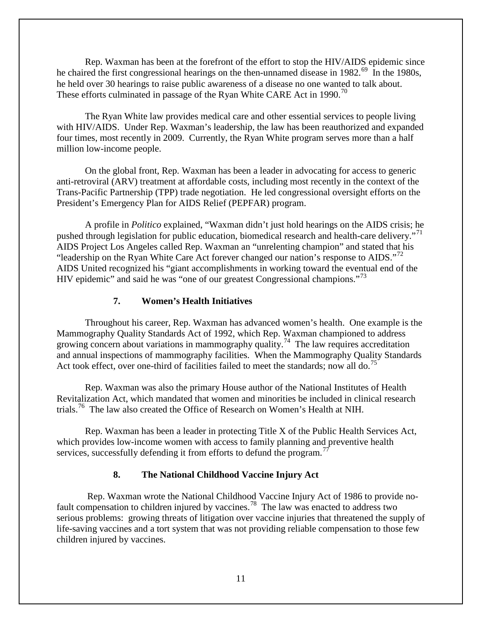Rep. Waxman has been at the forefront of the effort to stop the HIV/AIDS epidemic since he chaired the first congressional hearings on the then-unnamed disease in 1982.<sup>[69](#page-41-0)</sup> In the 1980s, he held over 30 hearings to raise public awareness of a disease no one wanted to talk about. These efforts culminated in passage of the Ryan White CARE Act in 1990.<sup>[70](#page-41-1)</sup>

The Ryan White law provides medical care and other essential services to people living with HIV/AIDS. Under Rep. Waxman's leadership, the law has been reauthorized and expanded four times, most recently in 2009. Currently, the Ryan White program serves more than a half million low-income people.

On the global front, Rep. Waxman has been a leader in advocating for access to generic anti-retroviral (ARV) treatment at affordable costs, including most recently in the context of the Trans-Pacific Partnership (TPP) trade negotiation. He led congressional oversight efforts on the President's Emergency Plan for AIDS Relief (PEPFAR) program.

A profile in *Politico* explained, "Waxman didn't just hold hearings on the AIDS crisis; he pushed through legislation for public education, biomedical research and health-care delivery."<sup>[71](#page-41-2)</sup> AIDS Project Los Angeles called Rep. Waxman an "unrelenting champion" and stated that his "leadership on the Ryan White Care Act forever changed our nation's response to  $AIDS.^{72}$ AIDS United recognized his "giant accomplishments in working toward the eventual end of the HIV epidemic" and said he was "one of our greatest Congressional champions."<sup>[73](#page-41-4)</sup>

#### **7. Women's Health Initiatives**

<span id="page-12-0"></span>Throughout his career, Rep. Waxman has advanced women's health. One example is the Mammography Quality Standards Act of 1992, which Rep. Waxman championed to address growing concern about variations in mammography quality.<sup>[74](#page-41-5)</sup> The law requires accreditation and annual inspections of mammography facilities. When the Mammography Quality Standards Act took effect, over one-third of facilities failed to meet the standards; now all do.<sup>[75](#page-41-6)</sup>

Rep. Waxman was also the primary House author of the National Institutes of Health Revitalization Act, which mandated that women and minorities be included in clinical research trials.<sup>76</sup> The law also created the Office of Research on Women's Health at NIH.

Rep. Waxman has been a leader in protecting Title X of the Public Health Services Act, which provides low-income women with access to family planning and preventive health services, successfully defending it from efforts to defund the program.<sup>[77](#page-41-8)</sup>

#### **8. The National Childhood Vaccine Injury Act**

<span id="page-12-1"></span>Rep. Waxman wrote the National Childhood Vaccine Injury Act of 1986 to provide no-fault compensation to children injured by vaccines.<sup>[78](#page-41-9)</sup> The law was enacted to address two serious problems: growing threats of litigation over vaccine injuries that threatened the supply of life-saving vaccines and a tort system that was not providing reliable compensation to those few children injured by vaccines.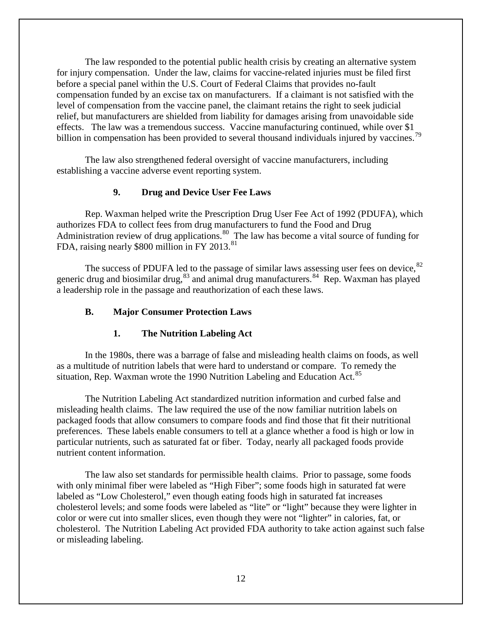The law responded to the potential public health crisis by creating an alternative system for injury compensation. Under the law, claims for vaccine-related injuries must be filed first before a special panel within the U.S. Court of Federal Claims that provides no-fault compensation funded by an excise tax on manufacturers. If a claimant is not satisfied with the level of compensation from the vaccine panel, the claimant retains the right to seek judicial relief, but manufacturers are shielded from liability for damages arising from unavoidable side effects. The law was a tremendous success. Vaccine manufacturing continued, while over \$1 billion in compensation has been provided to several thousand individuals injured by vaccines.<sup>[79](#page-42-0)</sup>

The law also strengthened federal oversight of vaccine manufacturers, including establishing a vaccine adverse event reporting system.

## **9. Drug and Device User Fee Laws**

<span id="page-13-0"></span>Rep. Waxman helped write the Prescription Drug User Fee Act of 1992 (PDUFA), which authorizes FDA to collect fees from drug manufacturers to fund the Food and Drug Administration review of drug applications.<sup>[80](#page-42-1)</sup> The law has become a vital source of funding for FDA, raising nearly \$800 million in FY 2013.<sup>[81](#page-42-2)</sup>

The success of PDUFA led to the passage of similar laws assessing user fees on device,<sup>[82](#page-42-3)</sup> generic drug and biosimilar drug,  $83$  and animal drug manufacturers.  $84$  Rep. Waxman has played a leadership role in the passage and reauthorization of each these laws.

#### <span id="page-13-1"></span>**B. Major Consumer Protection Laws**

#### **1. The Nutrition Labeling Act**

<span id="page-13-2"></span>In the 1980s, there was a barrage of false and misleading health claims on foods, as well as a multitude of nutrition labels that were hard to understand or compare. To remedy the situation, Rep. Waxman wrote the 1990 Nutrition Labeling and Education Act.<sup>85</sup>

The Nutrition Labeling Act standardized nutrition information and curbed false and misleading health claims. The law required the use of the now familiar nutrition labels on packaged foods that allow consumers to compare foods and find those that fit their nutritional preferences. These labels enable consumers to tell at a glance whether a food is high or low in particular nutrients, such as saturated fat or fiber. Today, nearly all packaged foods provide nutrient content information.

The law also set standards for permissible health claims. Prior to passage, some foods with only minimal fiber were labeled as "High Fiber"; some foods high in saturated fat were labeled as "Low Cholesterol," even though eating foods high in saturated fat increases cholesterol levels; and some foods were labeled as "lite" or "light" because they were lighter in color or were cut into smaller slices, even though they were not "lighter" in calories, fat, or cholesterol. The Nutrition Labeling Act provided FDA authority to take action against such false or misleading labeling.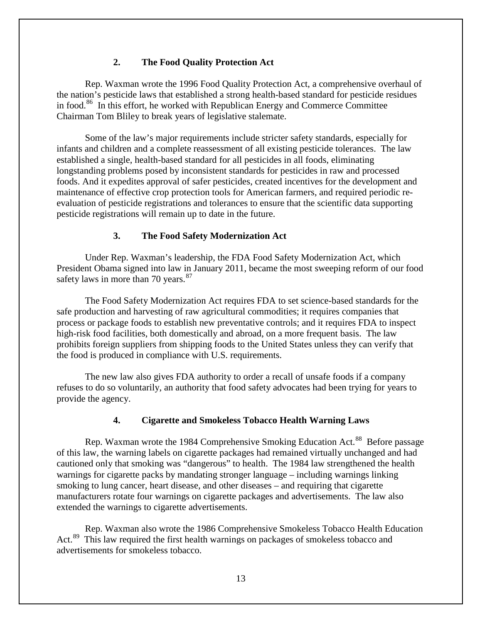## **2. The Food Quality Protection Act**

<span id="page-14-0"></span>Rep. Waxman wrote the 1996 Food Quality Protection Act, a comprehensive overhaul of the nation's pesticide laws that established a strong health-based standard for pesticide residues in food.<sup>86</sup> In this effort, he worked with Republican Energy and Commerce Committee Chairman Tom Bliley to break years of legislative stalemate.

Some of the law's major requirements include stricter safety standards, especially for infants and children and a complete reassessment of all existing pesticide tolerances. The law established a single, health-based standard for all pesticides in all foods, eliminating longstanding problems posed by inconsistent standards for pesticides in raw and processed foods. And it expedites approval of safer pesticides, created incentives for the development and maintenance of effective crop protection tools for American farmers, and required periodic reevaluation of pesticide registrations and tolerances to ensure that the scientific data supporting pesticide registrations will remain up to date in the future.

#### **3. The Food Safety Modernization Act**

<span id="page-14-1"></span>Under Rep. Waxman's leadership, the FDA Food Safety Modernization Act, which President Obama signed into law in January 2011, became the most sweeping reform of our food safety laws in more than 70 years.<sup>[87](#page-43-1)</sup>

The Food Safety Modernization Act requires FDA to set science-based standards for the safe production and harvesting of raw agricultural commodities; it requires companies that process or package foods to establish new preventative controls; and it requires FDA to inspect high-risk food facilities, both domestically and abroad, on a more frequent basis. The law prohibits foreign suppliers from shipping foods to the United States unless they can verify that the food is produced in compliance with U.S. requirements.

The new law also gives FDA authority to order a recall of unsafe foods if a company refuses to do so voluntarily, an authority that food safety advocates had been trying for years to provide the agency.

## **4. Cigarette and Smokeless Tobacco Health Warning Laws**

<span id="page-14-2"></span>Rep. Waxman wrote the 1984 Comprehensive Smoking Education Act.<sup>88</sup> Before passage of this law, the warning labels on cigarette packages had remained virtually unchanged and had cautioned only that smoking was "dangerous" to health. The 1984 law strengthened the health warnings for cigarette packs by mandating stronger language – including warnings linking smoking to lung cancer, heart disease, and other diseases – and requiring that cigarette manufacturers rotate four warnings on cigarette packages and advertisements. The law also extended the warnings to cigarette advertisements.

Rep. Waxman also wrote the 1986 Comprehensive Smokeless Tobacco Health Education Act.<sup>[89](#page-43-3)</sup> This law required the first health warnings on packages of smokeless tobacco and advertisements for smokeless tobacco.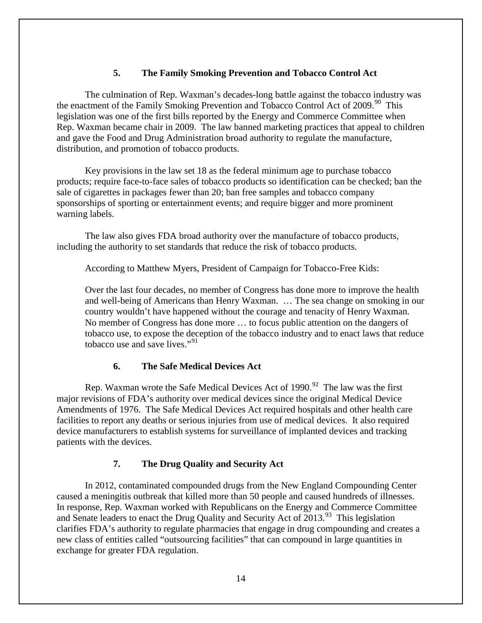## **5. The Family Smoking Prevention and Tobacco Control Act**

<span id="page-15-0"></span>The culmination of Rep. Waxman's decades-long battle against the tobacco industry was the enactment of the Family Smoking Prevention and Tobacco Control Act of 2009.<sup>[90](#page-44-0)</sup> This legislation was one of the first bills reported by the Energy and Commerce Committee when Rep. Waxman became chair in 2009. The law banned marketing practices that appeal to children and gave the Food and Drug Administration broad authority to regulate the manufacture, distribution, and promotion of tobacco products.

Key provisions in the law set 18 as the federal minimum age to purchase tobacco products; require face-to-face sales of tobacco products so identification can be checked; ban the sale of cigarettes in packages fewer than 20; ban free samples and tobacco company sponsorships of sporting or entertainment events; and require bigger and more prominent warning labels.

The law also gives FDA broad authority over the manufacture of tobacco products, including the authority to set standards that reduce the risk of tobacco products.

According to Matthew Myers, President of Campaign for Tobacco-Free Kids:

Over the last four decades, no member of Congress has done more to improve the health and well-being of Americans than Henry Waxman. … The sea change on smoking in our country wouldn't have happened without the courage and tenacity of Henry Waxman. No member of Congress has done more … to focus public attention on the dangers of tobacco use, to expose the deception of the tobacco industry and to enact laws that reduce tobacco use and save lives."<sup>[91](#page-44-1)</sup>

## **6. The Safe Medical Devices Act**

<span id="page-15-1"></span>Rep. Waxman wrote the Safe Medical Devices Act of  $1990.<sup>92</sup>$  The law was the first major revisions of FDA's authority over medical devices since the original Medical Device Amendments of 1976. The Safe Medical Devices Act required hospitals and other health care facilities to report any deaths or serious injuries from use of medical devices. It also required device manufacturers to establish systems for surveillance of implanted devices and tracking patients with the devices.

## **7. The Drug Quality and Security Act**

<span id="page-15-2"></span>In 2012, contaminated compounded drugs from the New England Compounding Center caused a meningitis outbreak that killed more than 50 people and caused hundreds of illnesses. In response, Rep. Waxman worked with Republicans on the Energy and Commerce Committee and Senate leaders to enact the Drug Quality and Security Act of 2013.<sup>93</sup> This legislation clarifies FDA's authority to regulate pharmacies that engage in drug compounding and creates a new class of entities called "outsourcing facilities" that can compound in large quantities in exchange for greater FDA regulation.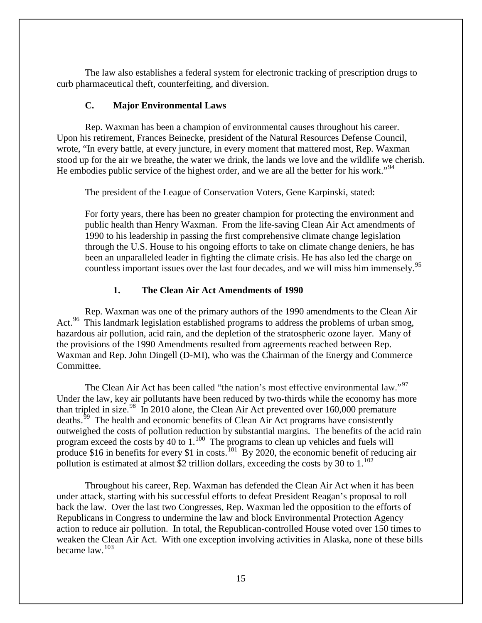The law also establishes a federal system for electronic tracking of prescription drugs to curb pharmaceutical theft, counterfeiting, and diversion.

## **C. Major Environmental Laws**

<span id="page-16-0"></span>Rep. Waxman has been a champion of environmental causes throughout his career. Upon his retirement, Frances Beinecke, president of the Natural Resources Defense Council, wrote, "In every battle, at every juncture, in every moment that mattered most, Rep. Waxman stood up for the air we breathe, the water we drink, the lands we love and the wildlife we cherish. He embodies public service of the highest order, and we are all the better for his work."<sup>[94](#page-45-0)</sup>

The president of the League of Conservation Voters, Gene Karpinski, stated:

For forty years, there has been no greater champion for protecting the environment and public health than Henry Waxman. From the life-saving Clean Air Act amendments of 1990 to his leadership in passing the first comprehensive climate change legislation through the U.S. House to his ongoing efforts to take on climate change deniers, he has been an unparalleled leader in fighting the climate crisis. He has also led the charge on countless important issues over the last four decades, and we will miss him immensely.<sup>[95](#page-45-1)</sup>

## **1. The Clean Air Act Amendments of 1990**

<span id="page-16-1"></span>Rep. Waxman was one of the primary authors of the 1990 amendments to the Clean Air Act.<sup>[96](#page-45-2)</sup> This landmark legislation established programs to address the problems of urban smog, hazardous air pollution, acid rain, and the depletion of the stratospheric ozone layer. Many of the provisions of the 1990 Amendments resulted from agreements reached between Rep. Waxman and Rep. John Dingell (D-MI), who was the Chairman of the Energy and Commerce Committee.

The Clean Air Act has been called "the nation's most effective environmental law."<sup>97</sup> Under the law, key air pollutants have been reduced by two-thirds while the economy has more than tripled in size.<sup>98</sup> In 2010 alone, the Clean Air Act prevented over 160,000 premature deaths.<sup>[99](#page-45-5)</sup> The health and economic benefits of Clean Air Act programs have consistently outweighed the costs of pollution reduction by substantial margins. The benefits of the acid rain program exceed the costs by 40 to  $1.^{100}$ . The programs to clean up vehicles and fuels will produce \$16 in benefits for every \$1 in costs.<sup>101</sup> By 2020, the economic benefit of reducing air pollution is estimated at almost \$2 trillion dollars, exceeding the costs by 30 to  $1.^{102}$  $1.^{102}$  $1.^{102}$ 

Throughout his career, Rep. Waxman has defended the Clean Air Act when it has been under attack, starting with his successful efforts to defeat President Reagan's proposal to roll back the law. Over the last two Congresses, Rep. Waxman led the opposition to the efforts of Republicans in Congress to undermine the law and block Environmental Protection Agency action to reduce air pollution. In total, the Republican-controlled House voted over 150 times to weaken the Clean Air Act. With one exception involving activities in Alaska, none of these bills became law.[103](#page-45-9)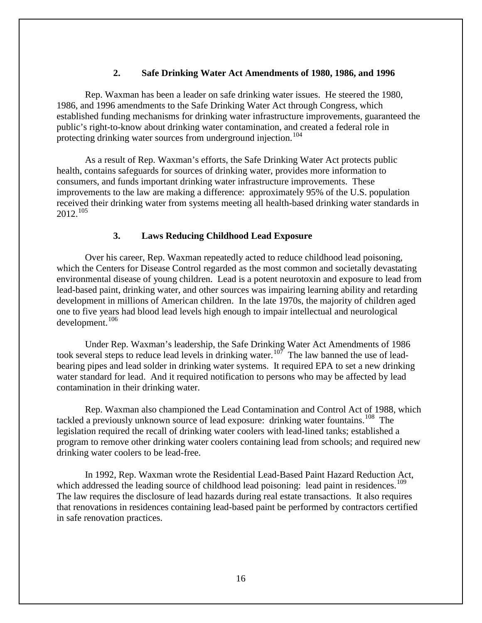## **2. Safe Drinking Water Act Amendments of 1980, 1986, and 1996**

<span id="page-17-0"></span>Rep. Waxman has been a leader on safe drinking water issues. He steered the 1980, 1986, and 1996 amendments to the Safe Drinking Water Act through Congress, which established funding mechanisms for drinking water infrastructure improvements, guaranteed the public's right-to-know about drinking water contamination, and created a federal role in protecting drinking water sources from underground injection.<sup>[104](#page-46-0)</sup>

As a result of Rep. Waxman's efforts, the Safe Drinking Water Act protects public health, contains safeguards for sources of drinking water, provides more information to consumers, and funds important drinking water infrastructure improvements. These improvements to the law are making a difference: approximately 95% of the U.S. population received their drinking water from systems meeting all health-based drinking water standards in 2012. [105](#page-46-1)

#### **3. Laws Reducing Childhood Lead Exposure**

<span id="page-17-1"></span>Over his career, Rep. Waxman repeatedly acted to reduce childhood lead poisoning, which the Centers for Disease Control regarded as the most common and societally devastating environmental disease of young children. Lead is a potent neurotoxin and exposure to lead from lead-based paint, drinking water, and other sources was impairing learning ability and retarding development in millions of American children. In the late 1970s, the majority of children aged one to five years had blood lead levels high enough to impair intellectual and neurological development.<sup>[106](#page-46-2)</sup>

Under Rep. Waxman's leadership, the Safe Drinking Water Act Amendments of 1986 took several steps to reduce lead levels in drinking water.<sup>107</sup> The law banned the use of leadbearing pipes and lead solder in drinking water systems. It required EPA to set a new drinking water standard for lead. And it required notification to persons who may be affected by lead contamination in their drinking water.

Rep. Waxman also championed the Lead Contamination and Control Act of 1988, which tackled a previously unknown source of lead exposure: drinking water fountains.<sup>[108](#page-46-4)</sup> The legislation required the recall of drinking water coolers with lead-lined tanks; established a program to remove other drinking water coolers containing lead from schools; and required new drinking water coolers to be lead-free.

In 1992, Rep. Waxman wrote the Residential Lead-Based Paint Hazard Reduction Act, which addressed the leading source of childhood lead poisoning: lead paint in residences.<sup>109</sup> The law requires the disclosure of lead hazards during real estate transactions. It also requires that renovations in residences containing lead-based paint be performed by contractors certified in safe renovation practices.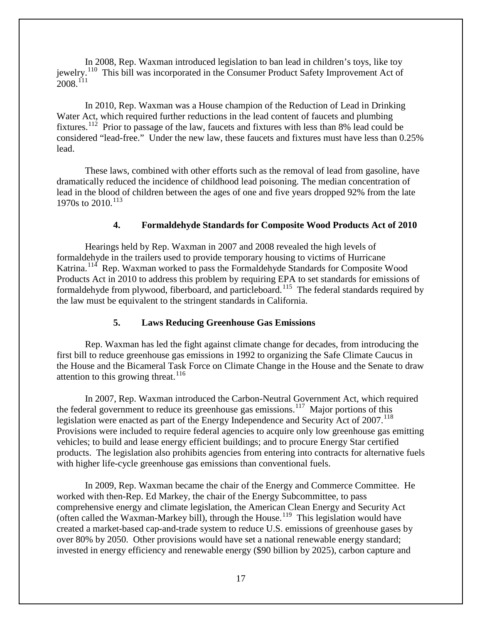In 2008, Rep. Waxman introduced legislation to ban lead in children's toys, like toy jewelry.<sup>110</sup> This bill was incorporated in the Consumer Product Safety Improvement Act of  $2008.<sup>111</sup>$ 

In 2010, Rep. Waxman was a House champion of the Reduction of Lead in Drinking Water Act, which required further reductions in the lead content of faucets and plumbing fixtures.[112](#page-47-2) Prior to passage of the law, faucets and fixtures with less than 8% lead could be considered "lead-free." Under the new law, these faucets and fixtures must have less than 0.25% lead.

These laws, combined with other efforts such as the removal of lead from gasoline, have dramatically reduced the incidence of childhood lead poisoning. The median concentration of lead in the blood of children between the ages of one and five years dropped 92% from the late 1970s to 2010.<sup>[113](#page-47-3)</sup>

## **4. Formaldehyde Standards for Composite Wood Products Act of 2010**

<span id="page-18-0"></span>Hearings held by Rep. Waxman in 2007 and 2008 revealed the high levels of formaldehyde in the trailers used to provide temporary housing to victims of Hurricane Katrina.<sup>114</sup> Rep. Waxman worked to pass the Formaldehyde Standards for Composite Wood Products Act in 2010 to address this problem by requiring EPA to set standards for emissions of formaldehyde from plywood, fiberboard, and particleboard.<sup>[115](#page-47-5)</sup> The federal standards required by the law must be equivalent to the stringent standards in California.

#### **5. Laws Reducing Greenhouse Gas Emissions**

<span id="page-18-1"></span>Rep. Waxman has led the fight against climate change for decades, from introducing the first bill to reduce greenhouse gas emissions in 1992 to organizing the Safe Climate Caucus in the House and the Bicameral Task Force on Climate Change in the House and the Senate to draw attention to this growing threat.<sup>[116](#page-47-6)</sup>

In 2007, Rep. Waxman introduced the Carbon-Neutral Government Act, which required the federal government to reduce its greenhouse gas emissions.<sup>117</sup> Major portions of this legislation were enacted as part of the Energy Independence and Security Act of 2007.<sup>118</sup> Provisions were included to require federal agencies to acquire only low greenhouse gas emitting vehicles; to build and lease energy efficient buildings; and to procure Energy Star certified products. The legislation also prohibits agencies from entering into contracts for alternative fuels with higher life-cycle greenhouse gas emissions than conventional fuels.

In 2009, Rep. Waxman became the chair of the Energy and Commerce Committee. He worked with then-Rep. Ed Markey, the chair of the Energy Subcommittee, to pass comprehensive energy and climate legislation, the American Clean Energy and Security Act (often called the Waxman-Markey bill), through the House. [119](#page-47-9) This legislation would have created a market-based cap-and-trade system to reduce U.S. emissions of greenhouse gases by over 80% by 2050. Other provisions would have set a national renewable energy standard; invested in energy efficiency and renewable energy (\$90 billion by 2025), carbon capture and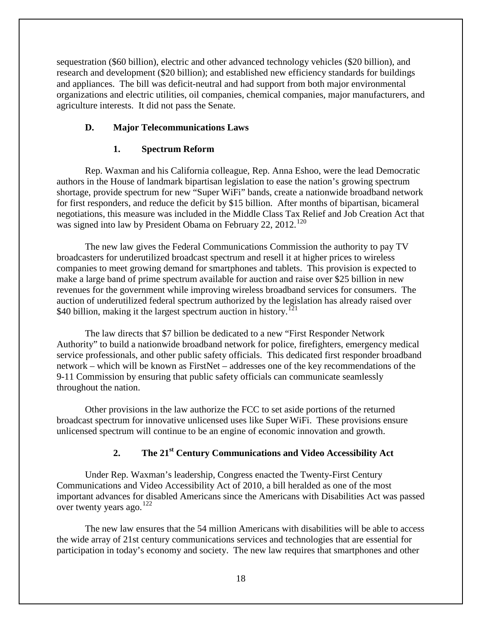sequestration (\$60 billion), electric and other advanced technology vehicles (\$20 billion), and research and development (\$20 billion); and established new efficiency standards for buildings and appliances. The bill was deficit-neutral and had support from both major environmental organizations and electric utilities, oil companies, chemical companies, major manufacturers, and agriculture interests. It did not pass the Senate.

## <span id="page-19-0"></span>**D. Major Telecommunications Laws**

## **1. Spectrum Reform**

<span id="page-19-1"></span>Rep. Waxman and his California colleague, Rep. Anna Eshoo, were the lead Democratic authors in the House of landmark bipartisan legislation to ease the nation's growing spectrum shortage, provide spectrum for new "Super WiFi" bands, create a nationwide broadband network for first responders, and reduce the deficit by \$15 billion. After months of bipartisan, bicameral negotiations, this measure was included in the Middle Class Tax Relief and Job Creation Act that was signed into law by President Obama on February 22, 2012.<sup>[120](#page-47-10)</sup>

The new law gives the Federal Communications Commission the authority to pay TV broadcasters for underutilized broadcast spectrum and resell it at higher prices to wireless companies to meet growing demand for smartphones and tablets. This provision is expected to make a large band of prime spectrum available for auction and raise over \$25 billion in new revenues for the government while improving wireless broadband services for consumers. The auction of underutilized federal spectrum authorized by the legislation has already raised over \$40 billion, making it the largest spectrum auction in history.<sup>[121](#page-47-11)</sup>

The law directs that \$7 billion be dedicated to a new "First Responder Network Authority" to build a nationwide broadband network for police, firefighters, emergency medical service professionals, and other public safety officials. This dedicated first responder broadband network – which will be known as FirstNet – addresses one of the key recommendations of the 9-11 Commission by ensuring that public safety officials can communicate seamlessly throughout the nation.

Other provisions in the law authorize the FCC to set aside portions of the returned broadcast spectrum for innovative unlicensed uses like Super WiFi. These provisions ensure unlicensed spectrum will continue to be an engine of economic innovation and growth.

## **2. The 21st Century Communications and Video Accessibility Act**

<span id="page-19-2"></span>Under Rep. Waxman's leadership, Congress enacted the Twenty-First Century Communications and Video Accessibility Act of 2010, a bill heralded as one of the most important advances for disabled Americans since the Americans with Disabilities Act was passed over twenty years ago.<sup>[122](#page-47-12)</sup>

The new law ensures that the 54 million Americans with disabilities will be able to access the wide array of 21st century communications services and technologies that are essential for participation in today's economy and society. The new law requires that smartphones and other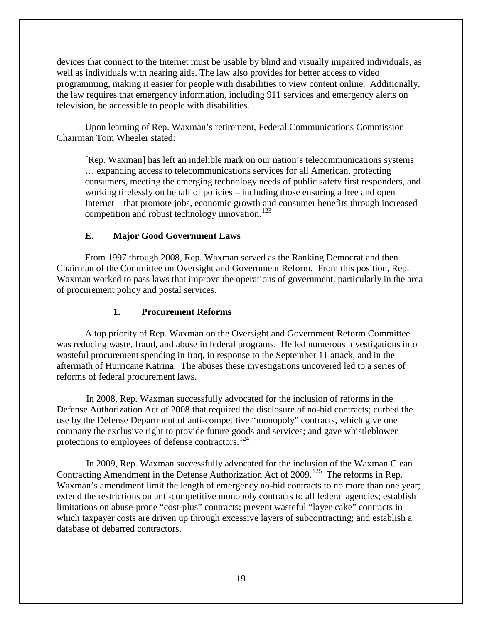devices that connect to the Internet must be usable by blind and visually impaired individuals, as well as individuals with hearing aids. The law also provides for better access to video programming, making it easier for people with disabilities to view content online. Additionally, the law requires that emergency information, including 911 services and emergency alerts on television, be accessible to people with disabilities.

Upon learning of Rep. Waxman's retirement, Federal Communications Commission Chairman Tom Wheeler stated:

[Rep. Waxman] has left an indelible mark on our nation's telecommunications systems … expanding access to telecommunications services for all American, protecting consumers, meeting the emerging technology needs of public safety first responders, and working tirelessly on behalf of policies – including those ensuring a free and open Internet – that promote jobs, economic growth and consumer benefits through increased competition and robust technology innovation.<sup>[123](#page-47-13)</sup>

## **E. Major Good Government Laws**

<span id="page-20-0"></span>From 1997 through 2008, Rep. Waxman served as the Ranking Democrat and then Chairman of the Committee on Oversight and Government Reform. From this position, Rep. Waxman worked to pass laws that improve the operations of government, particularly in the area of procurement policy and postal services.

## **1. Procurement Reforms**

<span id="page-20-1"></span>A top priority of Rep. Waxman on the Oversight and Government Reform Committee was reducing waste, fraud, and abuse in federal programs. He led numerous investigations into wasteful procurement spending in Iraq, in response to the September 11 attack, and in the aftermath of Hurricane Katrina. The abuses these investigations uncovered led to a series of reforms of federal procurement laws.

In 2008, Rep. Waxman successfully advocated for the inclusion of reforms in the Defense Authorization Act of 2008 that required the disclosure of no-bid contracts; curbed the use by the Defense Department of anti-competitive "monopoly" contracts, which give one company the exclusive right to provide future goods and services; and gave whistleblower protections to employees of defense contractors.<sup>[124](#page-47-7)</sup>

In 2009, Rep. Waxman successfully advocated for the inclusion of the Waxman Clean Contracting Amendment in the Defense Authorization Act of 2009.<sup>[125](#page-47-8)</sup> The reforms in Rep. Waxman's amendment limit the length of emergency no-bid contracts to no more than one year; extend the restrictions on anti-competitive monopoly contracts to all federal agencies; establish limitations on abuse-prone "cost-plus" contracts; prevent wasteful "layer-cake" contracts in which taxpayer costs are driven up through excessive layers of subcontracting; and establish a database of debarred contractors.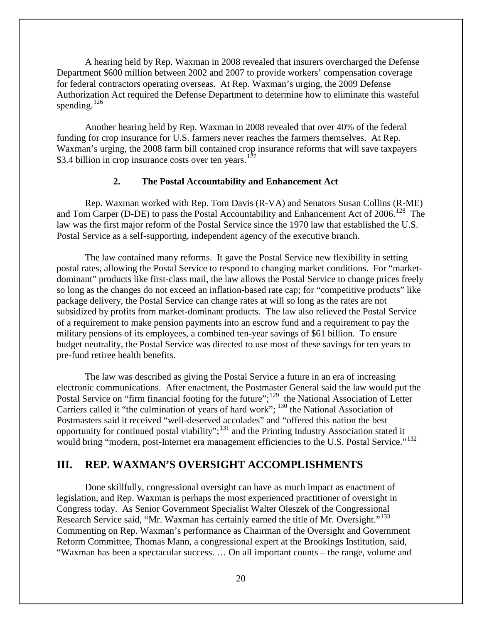A hearing held by Rep. Waxman in 2008 revealed that insurers overcharged the Defense Department \$600 million between 2002 and 2007 to provide workers' compensation coverage for federal contractors operating overseas. At Rep. Waxman's urging, the 2009 Defense Authorization Act required the Defense Department to determine how to eliminate this wasteful spending. $126$ 

Another hearing held by Rep. Waxman in 2008 revealed that over 40% of the federal funding for crop insurance for U.S. farmers never reaches the farmers themselves. At Rep. Waxman's urging, the 2008 farm bill contained crop insurance reforms that will save taxpayers \$3.4 billion in crop insurance costs over ten years.<sup>[127](#page-47-10)</sup>

## **2. The Postal Accountability and Enhancement Act**

<span id="page-21-0"></span>Rep. Waxman worked with Rep. Tom Davis (R-VA) and Senators Susan Collins (R-ME) and Tom Carper (D-DE) to pass the Postal Accountability and Enhancement Act of  $2006$ .<sup>[128](#page-47-11)</sup> The law was the first major reform of the Postal Service since the 1970 law that established the U.S. Postal Service as a self-supporting, independent agency of the executive branch.

The law contained many reforms. It gave the Postal Service new flexibility in setting postal rates, allowing the Postal Service to respond to changing market conditions. For "marketdominant" products like first-class mail, the law allows the Postal Service to change prices freely so long as the changes do not exceed an inflation-based rate cap; for "competitive products" like package delivery, the Postal Service can change rates at will so long as the rates are not subsidized by profits from market-dominant products. The law also relieved the Postal Service of a requirement to make pension payments into an escrow fund and a requirement to pay the military pensions of its employees, a combined ten-year savings of \$61 billion. To ensure budget neutrality, the Postal Service was directed to use most of these savings for ten years to pre-fund retiree health benefits.

The law was described as giving the Postal Service a future in an era of increasing electronic communications. After enactment, the Postmaster General said the law would put the Postal Service on "firm financial footing for the future";<sup>129</sup> the National Association of Letter Carriers called it "the culmination of years of hard work"; <sup>[130](#page-47-15)</sup> the National Association of Postmasters said it received "well-deserved accolades" and "offered this nation the best opportunity for continued postal viability";[131](#page-47-16) and the Printing Industry Association stated it would bring "modern, post-Internet era management efficiencies to the U.S. Postal Service."<sup>[132](#page-47-17)</sup>

## <span id="page-21-1"></span>**III. REP. WAXMAN'S OVERSIGHT ACCOMPLISHMENTS**

Done skillfully, congressional oversight can have as much impact as enactment of legislation, and Rep. Waxman is perhaps the most experienced practitioner of oversight in Congress today. As Senior Government Specialist Walter Oleszek of the Congressional Research Service said, "Mr. Waxman has certainly earned the title of Mr. Oversight."[133](#page-47-18)  Commenting on Rep. Waxman's performance as Chairman of the Oversight and Government Reform Committee, Thomas Mann, a congressional expert at the Brookings Institution, said, "Waxman has been a spectacular success. … On all important counts – the range, volume and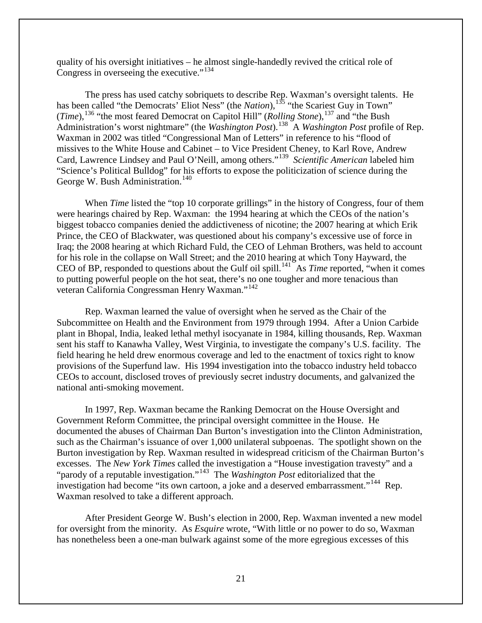quality of his oversight initiatives – he almost single-handedly revived the critical role of Congress in overseeing the executive."<sup>134</sup>

The press has used catchy sobriquets to describe Rep. Waxman's oversight talents. He has been called "the Democrats' Eliot Ness" (the *Nation*),<sup>[135](#page-47-20)</sup> "the Scariest Guy in Town" (*Time*),<sup>[136](#page-47-21)</sup> "the most feared Democrat on Capitol Hill" (*Rolling Stone*),<sup>[137](#page-47-22)</sup> and "the Bush Administration's worst nightmare" (the *Washington Post*).[138](#page-47-23) A *Washington Post* profile of Rep. Waxman in 2002 was titled "Congressional Man of Letters" in reference to his "flood of missives to the White House and Cabinet – to Vice President Cheney, to Karl Rove, Andrew Card, Lawrence Lindsey and Paul O'Neill, among others."[139](#page-47-24) *Scientific American* labeled him "Science's Political Bulldog" for his efforts to expose the politicization of science during the George W. Bush Administration.<sup>[140](#page-47-25)</sup>

When *Time* listed the "top 10 corporate grillings" in the history of Congress, four of them were hearings chaired by Rep. Waxman: the 1994 hearing at which the CEOs of the nation's biggest tobacco companies denied the addictiveness of nicotine; the 2007 hearing at which Erik Prince, the CEO of Blackwater, was questioned about his company's excessive use of force in Iraq; the 2008 hearing at which Richard Fuld, the CEO of Lehman Brothers, was held to account for his role in the collapse on Wall Street; and the 2010 hearing at which Tony Hayward, the CEO of BP, responded to questions about the Gulf oil spill.<sup>141</sup> As *Time* reported, "when it comes to putting powerful people on the hot seat, there's no one tougher and more tenacious than veteran California Congressman Henry Waxman."[142](#page-47-27)

Rep. Waxman learned the value of oversight when he served as the Chair of the Subcommittee on Health and the Environment from 1979 through 1994. After a Union Carbide plant in Bhopal, India, leaked lethal methyl isocyanate in 1984, killing thousands, Rep. Waxman sent his staff to Kanawha Valley, West Virginia, to investigate the company's U.S. facility. The field hearing he held drew enormous coverage and led to the enactment of toxics right to know provisions of the Superfund law. His 1994 investigation into the tobacco industry held tobacco CEOs to account, disclosed troves of previously secret industry documents, and galvanized the national anti-smoking movement.

In 1997, Rep. Waxman became the Ranking Democrat on the House Oversight and Government Reform Committee, the principal oversight committee in the House. He documented the abuses of Chairman Dan Burton's investigation into the Clinton Administration, such as the Chairman's issuance of over 1,000 unilateral subpoenas. The spotlight shown on the Burton investigation by Rep. Waxman resulted in widespread criticism of the Chairman Burton's excesses. The *New York Times* called the investigation a "House investigation travesty" and a "parody of a reputable investigation."[143](#page-47-28) The *Washington Post* editorialized that the investigation had become "its own cartoon, a joke and a deserved embarrassment."<sup>[144](#page-47-29)</sup> Rep. Waxman resolved to take a different approach.

After President George W. Bush's election in 2000, Rep. Waxman invented a new model for oversight from the minority. As *Esquire* wrote, "With little or no power to do so, Waxman has nonetheless been a one-man bulwark against some of the more egregious excesses of this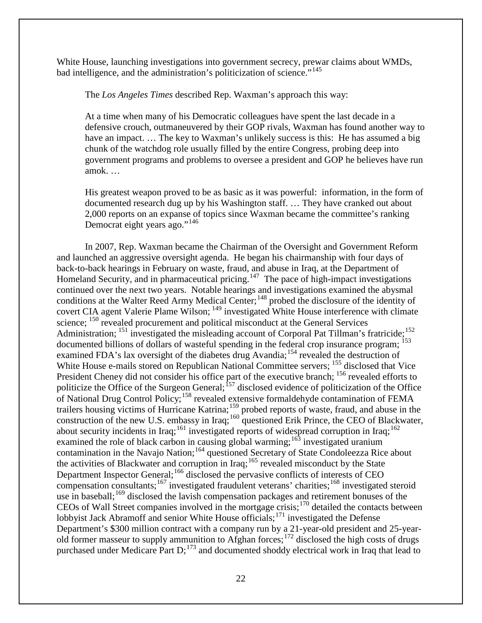White House, launching investigations into government secrecy, prewar claims about WMDs, bad intelligence, and the administration's politicization of science."<sup>[145](#page-47-30)</sup>

The *Los Angeles Times* described Rep. Waxman's approach this way:

At a time when many of his Democratic colleagues have spent the last decade in a defensive crouch, outmaneuvered by their GOP rivals, Waxman has found another way to have an impact. ... The key to Waxman's unlikely success is this: He has assumed a big chunk of the watchdog role usually filled by the entire Congress, probing deep into government programs and problems to oversee a president and GOP he believes have run amok. …

His greatest weapon proved to be as basic as it was powerful: information, in the form of documented research dug up by his Washington staff. … They have cranked out about 2,000 reports on an expanse of topics since Waxman became the committee's ranking Democrat eight years ago."<sup>[146](#page-47-31)</sup>

In 2007, Rep. Waxman became the Chairman of the Oversight and Government Reform and launched an aggressive oversight agenda. He began his chairmanship with four days of back-to-back hearings in February on waste, fraud, and abuse in Iraq, at the Department of Homeland Security, and in pharmaceutical pricing.<sup>147</sup> The pace of high-impact investigations continued over the next two years. Notable hearings and investigations examined the abysmal conditions at the Walter Reed Army Medical Center;<sup>[148](#page-47-33)</sup> probed the disclosure of the identity of covert CIA agent Valerie Plame Wilson; <sup>[149](#page-47-34)</sup> investigated White House interference with climate science; <sup>[150](#page-47-7)</sup> revealed procurement and political misconduct at the General Services Administration; <sup>[151](#page-47-35)</sup> investigated the misleading account of Corporal Pat Tillman's fratricide; <sup>[152](#page-47-36)</sup> documented billions of dollars of wasteful spending in the federal crop insurance program; <sup>[153](#page-47-12)</sup> examined FDA's lax oversight of the diabetes drug Avandia;<sup>[154](#page-47-37)</sup> revealed the destruction of White House e-mails stored on Republican National Committee servers; <sup>[155](#page-47-38)</sup> disclosed that Vice President Cheney did not consider his office part of the executive branch; <sup>[156](#page-47-39)</sup> revealed efforts to politicize the Office of the Surgeon General;  $157$  disclosed evidence of politicization of the Office of National Drug Control Policy;[158](#page-47-19) revealed extensive formaldehyde contamination of FEMA trailers housing victims of Hurricane Katrina;<sup>[159](#page-47-41)</sup> probed reports of waste, fraud, and abuse in the construction of the new U.S. embassy in Iraq;  $^{160}$  $^{160}$  $^{160}$  questioned Erik Prince, the CEO of Blackwater, about security incidents in Iraq;<sup>[161](#page-47-43)</sup> investigated reports of widespread corruption in Iraq;<sup>[162](#page-47-44)</sup> examined the role of black carbon in causing global warming;  $^{163}$  $^{163}$  $^{163}$  investigated uranium contamination in the Navajo Nation;<sup>[164](#page-47-46)</sup> questioned Secretary of State Condoleezza Rice about the activities of Blackwater and corruption in Iraq;<sup>[165](#page-47-47)</sup> revealed misconduct by the State Department Inspector General;<sup>[166](#page-47-48)</sup> disclosed the pervasive conflicts of interests of CEO compensation consultants;<sup>[167](#page-47-49)</sup> investigated fraudulent veterans' charities;<sup>[168](#page-47-5)</sup> investigated steroid use in baseball;<sup>[169](#page-47-7)</sup> disclosed the lavish compensation packages and retirement bonuses of the CEOs of Wall Street companies involved in the mortgage crisis;[170](#page-47-50) detailed the contacts between lobbyist Jack Abramoff and senior White House officials;<sup>[171](#page-47-51)</sup> investigated the Defense Department's \$300 million contract with a company run by a 21-year-old president and 25-year-old former masseur to supply ammunition to Afghan forces;<sup>[172](#page-47-37)</sup> disclosed the high costs of drugs purchased under Medicare Part  $D$ ;<sup>[173](#page-47-38)</sup> and documented shoddy electrical work in Iraq that lead to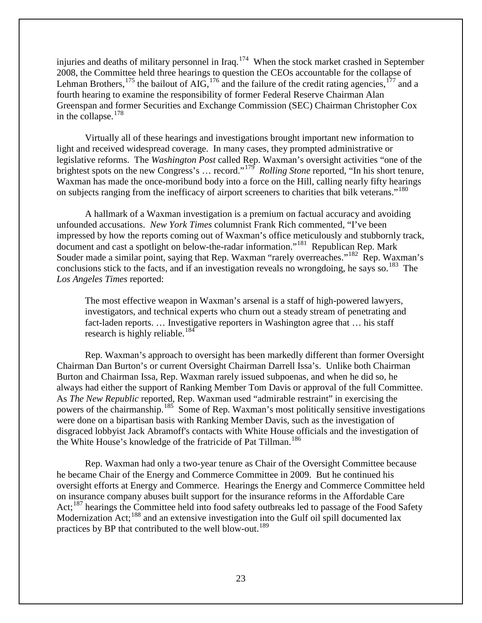injuries and deaths of military personnel in Iraq.<sup>[174](#page-47-52)</sup> When the stock market crashed in September 2008, the Committee held three hearings to question the CEOs accountable for the collapse of Lehman Brothers, <sup>[175](#page-47-53)</sup> the bailout of AIG, <sup>[176](#page-47-54)</sup> and the failure of the credit rating agencies, <sup>[177](#page-47-55)</sup> and a fourth hearing to examine the responsibility of former Federal Reserve Chairman Alan Greenspan and former Securities and Exchange Commission (SEC) Chairman Christopher Cox in the collapse. $178$ 

Virtually all of these hearings and investigations brought important new information to light and received widespread coverage. In many cases, they prompted administrative or legislative reforms. The *Washington Post* called Rep. Waxman's oversight activities "one of the brightest spots on the new Congress's ... record."<sup>[179](#page-47-43)</sup> *Rolling Stone* reported, "In his short tenure, Waxman has made the once-moribund body into a force on the Hill, calling nearly fifty hearings on subjects ranging from the inefficacy of airport screeners to charities that bilk veterans."<sup>[180](#page-47-56)</sup>

A hallmark of a Waxman investigation is a premium on factual accuracy and avoiding unfounded accusations. *New York Times* columnist Frank Rich commented, "I've been impressed by how the reports coming out of Waxman's office meticulously and stubbornly track, document and cast a spotlight on below-the-radar information."<sup>[181](#page-47-57)</sup> Republican Rep. Mark Souder made a similar point, saying that Rep. Waxman "rarely overreaches."<sup>[182](#page-47-58)</sup> Rep. Waxman's conclusions stick to the facts, and if an investigation reveals no wrongdoing, he says so.<sup>[183](#page-47-59)</sup> The *Los Angeles Times* reported:

The most effective weapon in Waxman's arsenal is a staff of high-powered lawyers, investigators, and technical experts who churn out a steady stream of penetrating and fact-laden reports. … Investigative reporters in Washington agree that … his staff research is highly reliable.<sup>[184](#page-47-60)</sup>

Rep. Waxman's approach to oversight has been markedly different than former Oversight Chairman Dan Burton's or current Oversight Chairman Darrell Issa's. Unlike both Chairman Burton and Chairman Issa, Rep. Waxman rarely issued subpoenas, and when he did so, he always had either the support of Ranking Member Tom Davis or approval of the full Committee. As *The New Republic* reported, Rep. Waxman used "admirable restraint" in exercising the powers of the chairmanship.<sup>185</sup> Some of Rep. Waxman's most politically sensitive investigations were done on a bipartisan basis with Ranking Member Davis, such as the investigation of disgraced lobbyist Jack Abramoff's contacts with White House officials and the investigation of the White House's knowledge of the fratricide of Pat Tillman.<sup>[186](#page-47-62)</sup>

Rep. Waxman had only a two-year tenure as Chair of the Oversight Committee because he became Chair of the Energy and Commerce Committee in 2009. But he continued his oversight efforts at Energy and Commerce. Hearings the Energy and Commerce Committee held on insurance company abuses built support for the insurance reforms in the Affordable Care Act;<sup>[187](#page-47-7)</sup> hearings the Committee held into food safety outbreaks led to passage of the Food Safety Modernization Act;<sup>[188](#page-47-63)</sup> and an extensive investigation into the Gulf oil spill documented lax practices by BP that contributed to the well blow-out.<sup>[189](#page-47-64)</sup>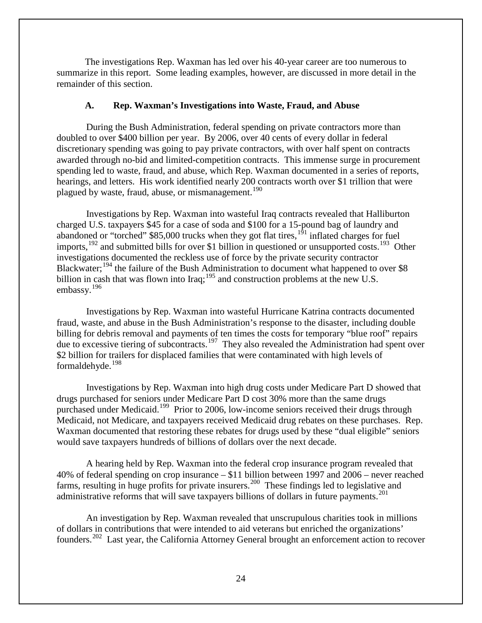The investigations Rep. Waxman has led over his 40-year career are too numerous to summarize in this report. Some leading examples, however, are discussed in more detail in the remainder of this section.

#### **A. Rep. Waxman's Investigations into Waste, Fraud, and Abuse**

<span id="page-25-0"></span>During the Bush Administration, federal spending on private contractors more than doubled to over \$400 billion per year. By 2006, over 40 cents of every dollar in federal discretionary spending was going to pay private contractors, with over half spent on contracts awarded through no-bid and limited-competition contracts. This immense surge in procurement spending led to waste, fraud, and abuse, which Rep. Waxman documented in a series of reports, hearings, and letters. His work identified nearly 200 contracts worth over \$1 trillion that were plagued by waste, fraud, abuse, or mismanagement.<sup>[190](#page-47-65)</sup>

Investigations by Rep. Waxman into wasteful Iraq contracts revealed that Halliburton charged U.S. taxpayers \$45 for a case of soda and \$100 for a 15-pound bag of laundry and abandoned or "torched" \$85,000 trucks when they got flat tires,<sup>[191](#page-47-66)</sup> inflated charges for fuel imports,<sup>[192](#page-47-67)</sup> and submitted bills for over \$1 billion in questioned or unsupported costs.<sup>193</sup> Other investigations documented the reckless use of force by the private security contractor Blackwater;<sup>[194](#page-47-69)</sup> the failure of the Bush Administration to document what happened to over \$8 billion in cash that was flown into Iraq;<sup>[195](#page-47-70)</sup> and construction problems at the new U.S. embassy.[196](#page-47-71)

Investigations by Rep. Waxman into wasteful Hurricane Katrina contracts documented fraud, waste, and abuse in the Bush Administration's response to the disaster, including double billing for debris removal and payments of ten times the costs for temporary "blue roof" repairs due to excessive tiering of subcontracts.<sup>197</sup> They also revealed the Administration had spent over \$2 billion for trailers for displaced families that were contaminated with high levels of formaldehyde. $198$ 

Investigations by Rep. Waxman into high drug costs under Medicare Part D showed that drugs purchased for seniors under Medicare Part D cost 30% more than the same drugs purchased under Medicaid.[199](#page-47-74) Prior to 2006, low-income seniors received their drugs through Medicaid, not Medicare, and taxpayers received Medicaid drug rebates on these purchases. Rep. Waxman documented that restoring these rebates for drugs used by these "dual eligible" seniors would save taxpayers hundreds of billions of dollars over the next decade.

A hearing held by Rep. Waxman into the federal crop insurance program revealed that 40% of federal spending on crop insurance – \$11 billion between 1997 and 2006 – never reached farms, resulting in huge profits for private insurers.<sup>[200](#page-47-75)</sup> These findings led to legislative and administrative reforms that will save taxpayers billions of dollars in future payments.<sup>[201](#page-47-76)</sup>

An investigation by Rep. Waxman revealed that unscrupulous charities took in millions of dollars in contributions that were intended to aid veterans but enriched the organizations' founders.<sup>202</sup> Last year, the California Attorney General brought an enforcement action to recover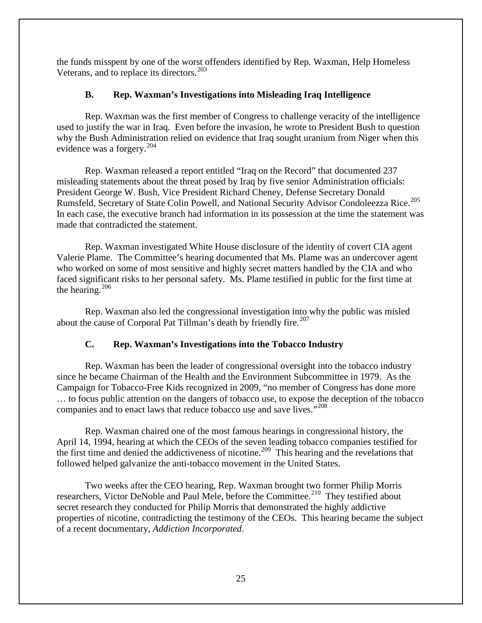the funds misspent by one of the worst offenders identified by Rep. Waxman, Help Homeless Veterans, and to replace its directors.<sup>[203](#page-47-7)</sup>

## **B. Rep. Waxman's Investigations into Misleading Iraq Intelligence**

<span id="page-26-0"></span>Rep. Waxman was the first member of Congress to challenge veracity of the intelligence used to justify the war in Iraq. Even before the invasion, he wrote to President Bush to question why the Bush Administration relied on evidence that Iraq sought uranium from Niger when this evidence was a forgery.<sup>204</sup>

Rep. Waxman released a report entitled "Iraq on the Record" that documented 237 misleading statements about the threat posed by Iraq by five senior Administration officials: President George W. Bush, Vice President Richard Cheney, Defense Secretary Donald Rumsfeld, Secretary of State Colin Powell, and National Security Advisor Condoleezza Rice.<sup>[205](#page-47-36)</sup> In each case, the executive branch had information in its possession at the time the statement was made that contradicted the statement.

Rep. Waxman investigated White House disclosure of the identity of covert CIA agent Valerie Plame. The Committee's hearing documented that Ms. Plame was an undercover agent who worked on some of most sensitive and highly secret matters handled by the CIA and who faced significant risks to her personal safety. Ms. Plame testified in public for the first time at the hearing. $206$ 

Rep. Waxman also led the congressional investigation into why the public was misled about the cause of Corporal Pat Tillman's death by friendly fire.<sup>[207](#page-47-80)</sup>

## **C. Rep. Waxman's Investigations into the Tobacco Industry**

<span id="page-26-1"></span>Rep. Waxman has been the leader of congressional oversight into the tobacco industry since he became Chairman of the Health and the Environment Subcommittee in 1979. As the Campaign for Tobacco-Free Kids recognized in 2009, "no member of Congress has done more … to focus public attention on the dangers of tobacco use, to expose the deception of the tobacco companies and to enact laws that reduce tobacco use and save lives."<sup>[208](#page-47-81)</sup>

Rep. Waxman chaired one of the most famous hearings in congressional history, the April 14, 1994, hearing at which the CEOs of the seven leading tobacco companies testified for the first time and denied the addictiveness of nicotine.<sup>[209](#page-47-82)</sup> This hearing and the revelations that followed helped galvanize the anti-tobacco movement in the United States.

Two weeks after the CEO hearing, Rep. Waxman brought two former Philip Morris researchers, Victor DeNoble and Paul Mele, before the Committee.<sup>210</sup> They testified about secret research they conducted for Philip Morris that demonstrated the highly addictive properties of nicotine, contradicting the testimony of the CEOs. This hearing became the subject of a recent documentary, *Addiction Incorporated*.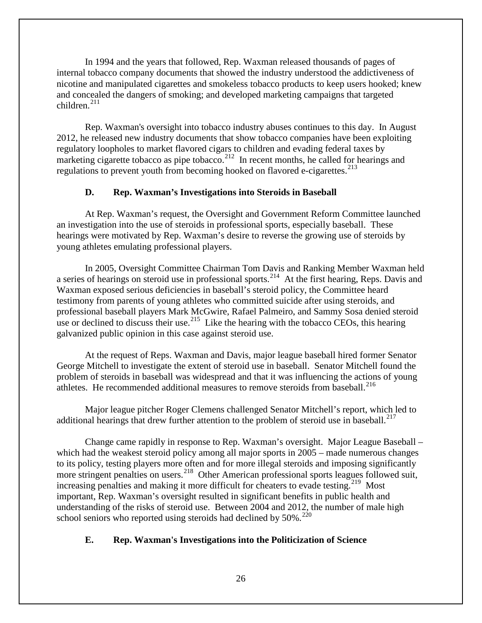In 1994 and the years that followed, Rep. Waxman released thousands of pages of internal tobacco company documents that showed the industry understood the addictiveness of nicotine and manipulated cigarettes and smokeless tobacco products to keep users hooked; knew and concealed the dangers of smoking; and developed marketing campaigns that targeted children.<sup>[211](#page-47-84)</sup>

Rep. Waxman's oversight into tobacco industry abuses continues to this day. In August 2012, he released new industry documents that show tobacco companies have been exploiting regulatory loopholes to market flavored cigars to children and evading federal taxes by marketing cigarette tobacco as pipe tobacco.<sup>212</sup> In recent months, he called for hearings and regulations to prevent youth from becoming hooked on flavored e-cigarettes.<sup>[213](#page-47-43)</sup>

## **D. Rep. Waxman's Investigations into Steroids in Baseball**

<span id="page-27-0"></span>At Rep. Waxman's request, the Oversight and Government Reform Committee launched an investigation into the use of steroids in professional sports, especially baseball. These hearings were motivated by Rep. Waxman's desire to reverse the growing use of steroids by young athletes emulating professional players.

In 2005, Oversight Committee Chairman Tom Davis and Ranking Member Waxman held a series of hearings on steroid use in professional sports.<sup>[214](#page-47-85)</sup> At the first hearing, Reps. Davis and Waxman exposed serious deficiencies in baseball's steroid policy, the Committee heard testimony from parents of young athletes who committed suicide after using steroids, and professional baseball players Mark McGwire, Rafael Palmeiro, and Sammy Sosa denied steroid use or declined to discuss their use.<sup>[215](#page-47-86)</sup> Like the hearing with the tobacco CEOs, this hearing galvanized public opinion in this case against steroid use.

At the request of Reps. Waxman and Davis, major league baseball hired former Senator George Mitchell to investigate the extent of steroid use in baseball. Senator Mitchell found the problem of steroids in baseball was widespread and that it was influencing the actions of young athletes. He recommended additional measures to remove steroids from baseball.<sup>[216](#page-47-48)</sup>

Major league pitcher Roger Clemens challenged Senator Mitchell's report, which led to additional hearings that drew further attention to the problem of steroid use in baseball.<sup>[217](#page-47-87)</sup>

Change came rapidly in response to Rep. Waxman's oversight. Major League Baseball – which had the weakest steroid policy among all major sports in 2005 – made numerous changes to its policy, testing players more often and for more illegal steroids and imposing significantly more stringent penalties on users.<sup>218</sup> Other American professional sports leagues followed suit, increasing penalties and making it more difficult for cheaters to evade testing.<sup>219</sup> Most important, Rep. Waxman's oversight resulted in significant benefits in public health and understanding of the risks of steroid use. Between 2004 and 2012, the number of male high school seniors who reported using steroids had declined by  $50\%$ .<sup>[220](#page-47-10)</sup>

## <span id="page-27-1"></span>**E. Rep. Waxman's Investigations into the Politicization of Science**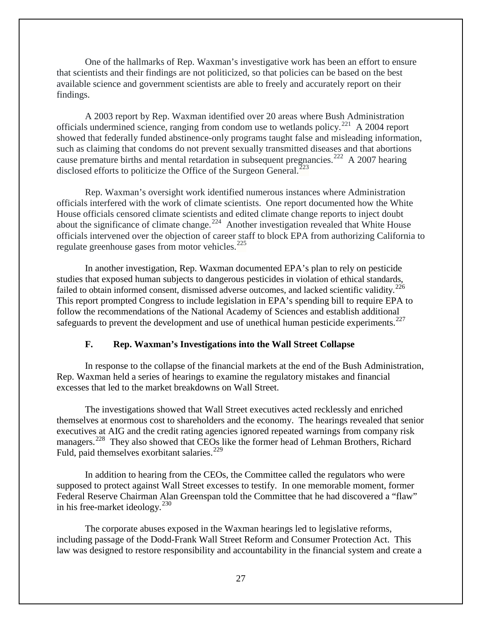One of the hallmarks of Rep. Waxman's investigative work has been an effort to ensure that scientists and their findings are not politicized, so that policies can be based on the best available science and government scientists are able to freely and accurately report on their findings.

A 2003 report by Rep. Waxman identified over 20 areas where Bush Administration officials undermined science, ranging from condom use to wetlands policy.<sup>[221](#page-47-89)</sup> A 2004 report showed that federally funded abstinence-only programs taught false and misleading information, such as claiming that condoms do not prevent sexually transmitted diseases and that abortions cause premature births and mental retardation in subsequent pregnancies.<sup>[222](#page-47-90)</sup> A 2007 hearing disclosed efforts to politicize the Office of the Surgeon General.<sup> $223$ </sup>

Rep. Waxman's oversight work identified numerous instances where Administration officials interfered with the work of climate scientists. One report documented how the White House officials censored climate scientists and edited climate change reports to inject doubt about the significance of climate change.<sup>[224](#page-47-81)</sup> Another investigation revealed that White House officials intervened over the objection of career staff to block EPA from authorizing California to regulate greenhouse gases from motor vehicles. $^{225}$  $^{225}$  $^{225}$ 

In another investigation, Rep. Waxman documented EPA's plan to rely on pesticide studies that exposed human subjects to dangerous pesticides in violation of ethical standards, failed to obtain informed consent, dismissed adverse outcomes, and lacked scientific validity.<sup>[226](#page-47-83)</sup> This report prompted Congress to include legislation in EPA's spending bill to require EPA to follow the recommendations of the National Academy of Sciences and establish additional safeguards to prevent the development and use of unethical human pesticide experiments.<sup>[227](#page-47-92)</sup>

#### **F. Rep. Waxman's Investigations into the Wall Street Collapse**

<span id="page-28-0"></span>In response to the collapse of the financial markets at the end of the Bush Administration, Rep. Waxman held a series of hearings to examine the regulatory mistakes and financial excesses that led to the market breakdowns on Wall Street.

The investigations showed that Wall Street executives acted recklessly and enriched themselves at enormous cost to shareholders and the economy. The hearings revealed that senior executives at AIG and the credit rating agencies ignored repeated warnings from company risk managers.<sup>228</sup> They also showed that CEOs like the former head of Lehman Brothers, Richard Fuld, paid themselves exorbitant salaries.<sup>[229](#page-47-93)</sup>

In addition to hearing from the CEOs, the Committee called the regulators who were supposed to protect against Wall Street excesses to testify. In one memorable moment, former Federal Reserve Chairman Alan Greenspan told the Committee that he had discovered a "flaw" in his free-market ideology.[230](#page-47-24)

The corporate abuses exposed in the Waxman hearings led to legislative reforms, including passage of the Dodd-Frank Wall Street Reform and Consumer Protection Act. This law was designed to restore responsibility and accountability in the financial system and create a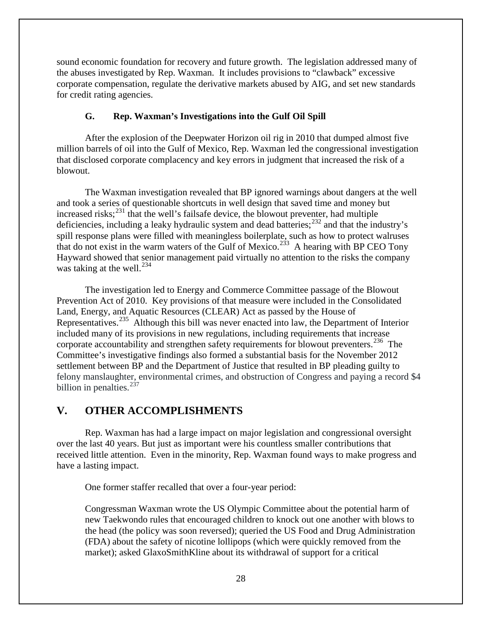sound economic foundation for recovery and future growth. The legislation addressed many of the abuses investigated by Rep. Waxman. It includes provisions to "clawback" excessive corporate compensation, regulate the derivative markets abused by AIG, and set new standards for credit rating agencies.

## **G. Rep. Waxman's Investigations into the Gulf Oil Spill**

<span id="page-29-0"></span>After the explosion of the Deepwater Horizon oil rig in 2010 that dumped almost five million barrels of oil into the Gulf of Mexico, Rep. Waxman led the congressional investigation that disclosed corporate complacency and key errors in judgment that increased the risk of a blowout.

The Waxman investigation revealed that BP ignored warnings about dangers at the well and took a series of questionable shortcuts in well design that saved time and money but increased risks; $^{231}$  $^{231}$  $^{231}$  that the well's failsafe device, the blowout preventer, had multiple deficiencies, including a leaky hydraulic system and dead batteries;<sup>[232](#page-47-94)</sup> and that the industry's spill response plans were filled with meaningless boilerplate, such as how to protect walruses that do not exist in the warm waters of the Gulf of Mexico.<sup>233</sup> A hearing with BP CEO Tony Hayward showed that senior management paid virtually no attention to the risks the company was taking at the well. $^{234}$  $^{234}$  $^{234}$ 

The investigation led to Energy and Commerce Committee passage of the Blowout Prevention Act of 2010. Key provisions of that measure were included in the Consolidated Land, Energy, and Aquatic Resources (CLEAR) Act as passed by the House of Representatives.[235](#page-47-4) Although this bill was never enacted into law, the Department of Interior included many of its provisions in new regulations, including requirements that increase corporate accountability and strengthen safety requirements for blowout preventers.<sup>[236](#page-47-97)</sup> The Committee's investigative findings also formed a substantial basis for the November 2012 settlement between BP and the Department of Justice that resulted in BP pleading guilty to felony manslaughter, environmental crimes, and obstruction of Congress and paying a record \$4 billion in penalties. $237$ 

## <span id="page-29-1"></span>**V. OTHER ACCOMPLISHMENTS**

Rep. Waxman has had a large impact on major legislation and congressional oversight over the last 40 years. But just as important were his countless smaller contributions that received little attention. Even in the minority, Rep. Waxman found ways to make progress and have a lasting impact.

One former staffer recalled that over a four-year period:

Congressman Waxman wrote the US Olympic Committee about the potential harm of new Taekwondo rules that encouraged children to knock out one another with blows to the head (the policy was soon reversed); queried the US Food and Drug Administration (FDA) about the safety of nicotine lollipops (which were quickly removed from the market); asked GlaxoSmithKline about its withdrawal of support for a critical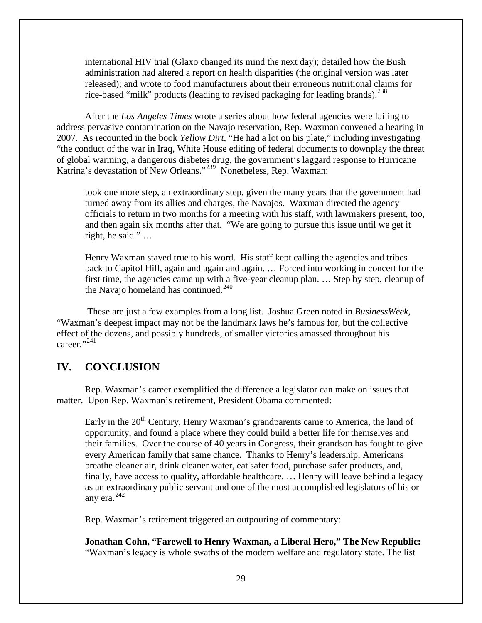international HIV trial (Glaxo changed its mind the next day); detailed how the Bush administration had altered a report on health disparities (the original version was later released); and wrote to food manufacturers about their erroneous nutritional claims for rice-based "milk" products (leading to revised packaging for leading brands).<sup>[238](#page-47-99)</sup>

After the *Los Angeles Times* wrote a series about how federal agencies were failing to address pervasive contamination on the Navajo reservation, Rep. Waxman convened a hearing in 2007. As recounted in the book *Yellow Dirt*, "He had a lot on his plate," including investigating "the conduct of the war in Iraq, White House editing of federal documents to downplay the threat of global warming, a dangerous diabetes drug, the government's laggard response to Hurricane Katrina's devastation of New Orleans."<sup>[239](#page-47-100)</sup> Nonetheless, Rep. Waxman:

took one more step, an extraordinary step, given the many years that the government had turned away from its allies and charges, the Navajos. Waxman directed the agency officials to return in two months for a meeting with his staff, with lawmakers present, too, and then again six months after that. "We are going to pursue this issue until we get it right, he said." …

Henry Waxman stayed true to his word. His staff kept calling the agencies and tribes back to Capitol Hill, again and again and again. … Forced into working in concert for the first time, the agencies came up with a five-year cleanup plan. … Step by step, cleanup of the Navajo homeland has continued. $240$ 

These are just a few examples from a long list. Joshua Green noted in *BusinessWeek,*  "Waxman's deepest impact may not be the landmark laws he's famous for, but the collective effect of the dozens, and possibly hundreds, of smaller victories amassed throughout his career."<sup>[241](#page-47-8)</sup>

## <span id="page-30-0"></span>**IV. CONCLUSION**

Rep. Waxman's career exemplified the difference a legislator can make on issues that matter. Upon Rep. Waxman's retirement, President Obama commented:

Early in the  $20<sup>th</sup>$  Century, Henry Waxman's grandparents came to America, the land of opportunity, and found a place where they could build a better life for themselves and their families. Over the course of 40 years in Congress, their grandson has fought to give every American family that same chance. Thanks to Henry's leadership, Americans breathe cleaner air, drink cleaner water, eat safer food, purchase safer products, and, finally, have access to quality, affordable healthcare. … Henry will leave behind a legacy as an extraordinary public servant and one of the most accomplished legislators of his or any era. $^{242}$ 

Rep. Waxman's retirement triggered an outpouring of commentary:

**Jonathan Cohn, "Farewell to Henry Waxman, a Liberal Hero," The New Republic:**  "Waxman's legacy is whole swaths of the modern welfare and regulatory state. The list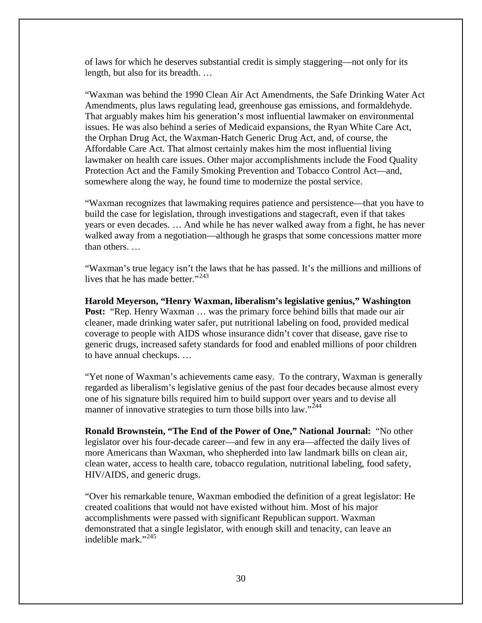of laws for which he deserves substantial credit is simply staggering—not only for its length, but also for its breadth. …

"Waxman was behind the 1990 Clean Air Act Amendments, the Safe Drinking Water Act Amendments, plus laws regulating lead, greenhouse gas emissions, and formaldehyde. That arguably makes him his generation's most influential lawmaker on environmental issues. He was also behind a series of Medicaid expansions, the Ryan White Care Act, the Orphan Drug Act, the Waxman-Hatch Generic Drug Act, and, of course, the Affordable Care Act. That almost certainly makes him the most influential living lawmaker on health care issues. Other major accomplishments include the Food Quality Protection Act and the Family Smoking Prevention and Tobacco Control Act—and, somewhere along the way, he found time to modernize the postal service.

"Waxman recognizes that lawmaking requires patience and persistence—that you have to build the case for legislation, through investigations and stagecraft, even if that takes years or even decades. … And while he has never walked away from a fight, he has never walked away from a negotiation—although he grasps that some concessions matter more than others. …

"Waxman's true legacy isn't the laws that he has passed. It's the millions and millions of lives that he has made better."<sup>[243](#page-47-102)</sup>

**Harold Meyerson, "Henry Waxman, liberalism's legislative genius," Washington Post:** "Rep. Henry Waxman ... was the primary force behind bills that made our air cleaner, made drinking water safer, put nutritional labeling on food, provided medical coverage to people with AIDS whose insurance didn't cover that disease, gave rise to generic drugs, increased safety standards for food and enabled millions of poor children to have annual checkups. …

"Yet none of Waxman's achievements came easy. To the contrary, Waxman is generally regarded as liberalism's legislative genius of the past four decades because almost every one of his signature bills required him to build support over years and to devise all manner of innovative strategies to turn those bills into law."<sup>[244](#page-47-51)</sup>

**Ronald Brownstein, "The End of the Power of One," National Journal:** "No other legislator over his four-decade career—and few in any era—affected the daily lives of more Americans than Waxman, who shepherded into law landmark bills on clean air, clean water, access to health care, tobacco regulation, nutritional labeling, food safety, HIV/AIDS, and generic drugs.

"Over his remarkable tenure, Waxman embodied the definition of a great legislator: He created coalitions that would not have existed without him. Most of his major accomplishments were passed with significant Republican support. Waxman demonstrated that a single legislator, with enough skill and tenacity, can leave an indelible mark."[245](#page-47-103)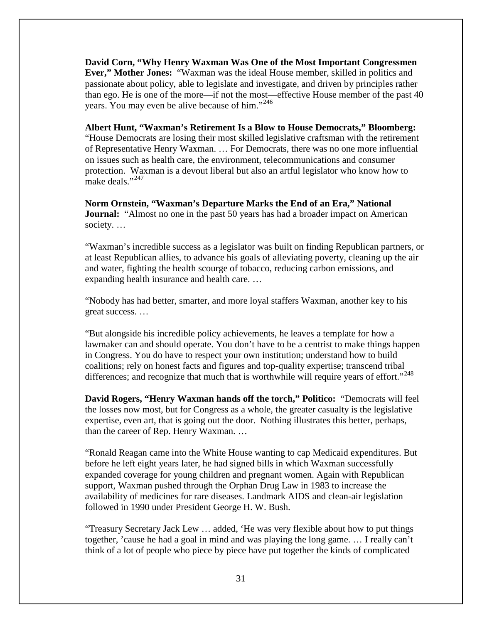**David Corn, "Why Henry Waxman Was One of the Most Important Congressmen Ever," Mother Jones:** "Waxman was the ideal House member, skilled in politics and passionate about policy, able to legislate and investigate, and driven by principles rather than ego. He is one of the more—if not the most—effective House member of the past 40 years. You may even be alive because of him."<sup>[246](#page-47-104)</sup>

**Albert Hunt, "Waxman's Retirement Is a Blow to House Democrats," Bloomberg:**  "House Democrats are losing their most skilled legislative craftsman with the retirement of Representative Henry Waxman. … For Democrats, there was no one more influential on issues such as health care, the environment, telecommunications and consumer protection. Waxman is a devout liberal but also an artful legislator who know how to make deals."<sup>[247](#page-47-105)</sup>

**Norm Ornstein, "Waxman's Departure Marks the End of an Era," National Journal:** "Almost no one in the past 50 years has had a broader impact on American society. …

"Waxman's incredible success as a legislator was built on finding Republican partners, or at least Republican allies, to advance his goals of alleviating poverty, cleaning up the air and water, fighting the health scourge of tobacco, reducing carbon emissions, and expanding health insurance and health care. …

"Nobody has had better, smarter, and more loyal staffers Waxman, another key to his great success. …

"But alongside his incredible policy achievements, he leaves a template for how a lawmaker can and should operate. You don't have to be a centrist to make things happen in Congress. You do have to respect your own institution; understand how to build coalitions; rely on honest facts and figures and top-quality expertise; transcend tribal differences; and recognize that much that is worthwhile will require years of effort."<sup>[248](#page-47-17)</sup>

**David Rogers, "Henry Waxman hands off the torch," Politico:** "Democrats will feel the losses now most, but for Congress as a whole, the greater casualty is the legislative expertise, even art, that is going out the door. Nothing illustrates this better, perhaps, than the career of Rep. Henry Waxman. …

"Ronald Reagan came into the White House wanting to cap Medicaid expenditures. But before he left eight years later, he had signed bills in which Waxman successfully expanded coverage for young children and pregnant women. Again with Republican support, Waxman pushed through the Orphan Drug Law in 1983 to increase the availability of medicines for rare diseases. Landmark AIDS and clean-air legislation followed in 1990 under President George H. W. Bush.

"Treasury Secretary Jack Lew … added, 'He was very flexible about how to put things together, 'cause he had a goal in mind and was playing the long game. … I really can't think of a lot of people who piece by piece have put together the kinds of complicated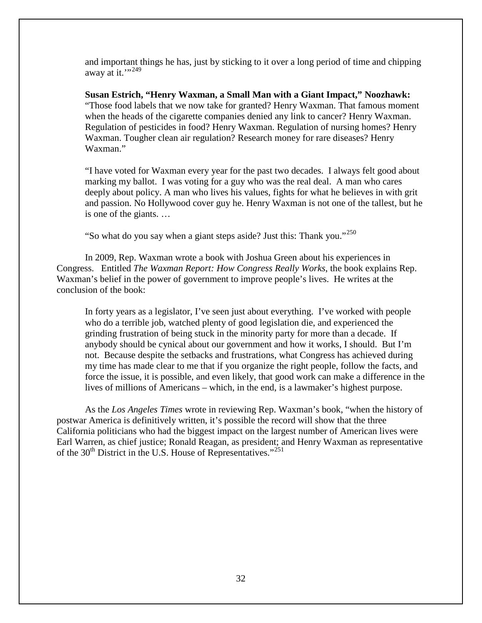and important things he has, just by sticking to it over a long period of time and chipping away at it." $249$ 

**Susan Estrich, "Henry Waxman, a Small Man with a Giant Impact," Noozhawk:** "Those food labels that we now take for granted? Henry Waxman. That famous moment when the heads of the cigarette companies denied any link to cancer? Henry Waxman. Regulation of pesticides in food? Henry Waxman. Regulation of nursing homes? Henry Waxman. Tougher clean air regulation? Research money for rare diseases? Henry Waxman."

"I have voted for Waxman every year for the past two decades. I always felt good about marking my ballot. I was voting for a guy who was the real deal. A man who cares deeply about policy. A man who lives his values, fights for what he believes in with grit and passion. No Hollywood cover guy he. Henry Waxman is not one of the tallest, but he is one of the giants. …

"So what do you say when a giant steps aside? Just this: Thank you."<sup>[250](#page-47-107)</sup>

In 2009, Rep. Waxman wrote a book with Joshua Green about his experiences in Congress. Entitled *The Waxman Report: How Congress Really Works*, the book explains Rep. Waxman's belief in the power of government to improve people's lives. He writes at the conclusion of the book:

In forty years as a legislator, I've seen just about everything. I've worked with people who do a terrible job, watched plenty of good legislation die, and experienced the grinding frustration of being stuck in the minority party for more than a decade. If anybody should be cynical about our government and how it works, I should. But I'm not. Because despite the setbacks and frustrations, what Congress has achieved during my time has made clear to me that if you organize the right people, follow the facts, and force the issue, it is possible, and even likely, that good work can make a difference in the lives of millions of Americans – which, in the end, is a lawmaker's highest purpose.

As the *Los Angeles Times* wrote in reviewing Rep. Waxman's book, "when the history of postwar America is definitively written, it's possible the record will show that the three California politicians who had the biggest impact on the largest number of American lives were Earl Warren, as chief justice; Ronald Reagan, as president; and Henry Waxman as representative of the 30<sup>th</sup> District in the U.S. House of Representatives."<sup>[251](#page-47-108)</sup>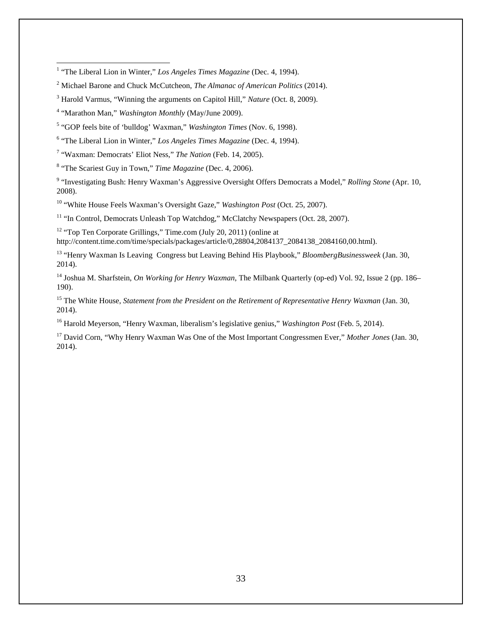$\overline{a}$ 

<span id="page-34-7"></span><sup>8</sup> "The Scariest Guy in Town," *Time Magazine* (Dec. 4, 2006).

<span id="page-34-8"></span><sup>9</sup> "Investigating Bush: Henry Waxman's Aggressive Oversight Offers Democrats a Model," *Rolling Stone* (Apr. 10, 2008).

<span id="page-34-9"></span><sup>10</sup> "White House Feels Waxman's Oversight Gaze," *Washington Post* (Oct. 25, 2007).

<span id="page-34-10"></span><sup>11</sup> "In Control, Democrats Unleash Top Watchdog," McClatchy Newspapers (Oct. 28, 2007).

<span id="page-34-11"></span><sup>12</sup> "Top Ten Corporate Grillings," Time.com (July 20, 2011) (online at [http://content.time.com/time/specials/packages/article/0,28804,2084137\\_2084138\\_2084160,00.html\)](http://content.time.com/time/specials/packages/article/0,28804,2084137_2084138_2084160,00.html).

<span id="page-34-12"></span><sup>13</sup> "Henry Waxman Is Leaving Congress but Leaving Behind His Playbook," *BloombergBusinessweek* (Jan. 30, 2014).

<span id="page-34-13"></span><sup>14</sup> Joshua M. Sharfstein, *On Working for Henry Waxman*, The Milbank Quarterly (op-ed) Vol. 92, Issue 2 (pp. 186– 190).

<span id="page-34-14"></span><sup>15</sup> The White House, *Statement from the President on the Retirement of Representative Henry Waxman (Jan. 30, 16)* 2014).

<span id="page-34-15"></span><sup>16</sup> Harold Meyerson, "Henry Waxman, liberalism's legislative genius," *Washington Post* (Feb. 5, 2014).

<span id="page-34-16"></span><sup>17</sup> David Corn, "Why Henry Waxman Was One of the Most Important Congressmen Ever," *Mother Jones* (Jan. 30, 2014).

<span id="page-34-0"></span><sup>&</sup>lt;sup>1</sup> "The Liberal Lion in Winter," Los Angeles Times Magazine (Dec. 4, 1994).

<span id="page-34-1"></span><sup>2</sup> Michael Barone and Chuck McCutcheon, *The Almanac of American Politics* (2014).

<span id="page-34-2"></span><sup>3</sup> Harold Varmus, "Winning the arguments on Capitol Hill," *Nature* (Oct. 8, 2009).

<span id="page-34-3"></span><sup>4</sup> "Marathon Man," *Washington Monthly* (May/June 2009).

<span id="page-34-4"></span><sup>5</sup> "GOP feels bite of 'bulldog' Waxman," *Washington Times* (Nov. 6, 1998).

<span id="page-34-5"></span><sup>6</sup> "The Liberal Lion in Winter," *Los Angeles Times Magazine* (Dec. 4, 1994).

<span id="page-34-6"></span><sup>7</sup> "Waxman: Democrats' Eliot Ness," *The Nation* (Feb. 14, 2005).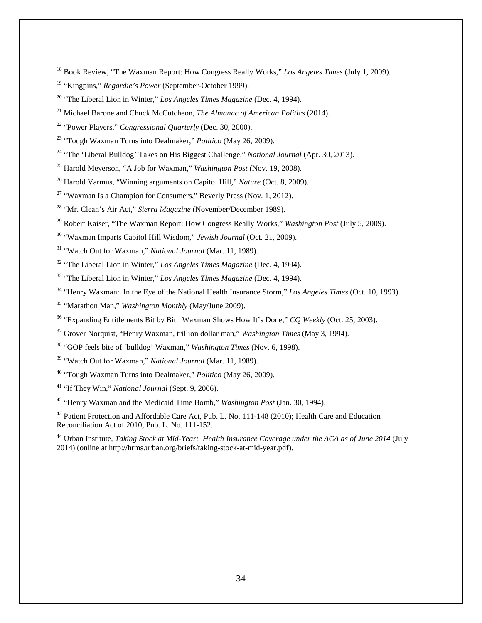- <span id="page-35-0"></span>Book Review, "The Waxman Report: How Congress Really Works," *Los Angeles Times* (July 1, 2009).
- <span id="page-35-1"></span><sup>19</sup> "Kingpins," *Regardie's Power* (September-October 1999).

 $\overline{a}$ 

- <span id="page-35-2"></span>"The Liberal Lion in Winter," *Los Angeles Times Magazine* (Dec. 4, 1994).
- <span id="page-35-3"></span>Michael Barone and Chuck McCutcheon, *The Almanac of American Politics* (2014).
- <span id="page-35-4"></span>"Power Players," *Congressional Quarterly* (Dec. 30, 2000).
- <span id="page-35-5"></span>"Tough Waxman Turns into Dealmaker," *Politico* (May 26, 2009).
- <span id="page-35-6"></span><sup>24</sup> "The 'Liberal Bulldog' Takes on His Biggest Challenge," *National Journal* (Apr. 30, 2013).
- <span id="page-35-7"></span>Harold Meyerson, "A Job for Waxman," *Washington Post* (Nov. 19, 2008).
- <span id="page-35-8"></span>Harold Varmus, "Winning arguments on Capitol Hill," *Nature* (Oct. 8, 2009).
- <span id="page-35-9"></span><sup>27</sup> "Waxman Is a Champion for Consumers," Beverly Press (Nov. 1, 2012).
- <span id="page-35-10"></span>"Mr. Clean's Air Act," *Sierra Magazine* (November/December 1989).
- <span id="page-35-11"></span>Robert Kaiser, "The Waxman Report: How Congress Really Works," *Washington Post* (July 5, 2009).
- <span id="page-35-12"></span>"Waxman Imparts Capitol Hill Wisdom," *Jewish Journal* (Oct. 21, 2009).
- <span id="page-35-13"></span><sup>31</sup> "Watch Out for Waxman," *National Journal* (Mar. 11, 1989).
- <span id="page-35-14"></span>"The Liberal Lion in Winter," *Los Angeles Times Magazine* (Dec. 4, 1994).
- "The Liberal Lion in Winter," *Los Angeles Times Magazine* (Dec. 4, 1994).
- "Henry Waxman: In the Eye of the National Health Insurance Storm," *Los Angeles Times* (Oct. 10, 1993).
- "Marathon Man," *Washington Monthly* (May/June 2009).
- "Expanding Entitlements Bit by Bit: Waxman Shows How It's Done," *CQ Weekly* (Oct. 25, 2003).
- Grover Norquist, "Henry Waxman, trillion dollar man," *Washington Times* (May 3, 1994).
- "GOP feels bite of 'bulldog' Waxman," *Washington Times* (Nov. 6, 1998).
- "Watch Out for Waxman," *National Journal* (Mar. 11, 1989).
- "Tough Waxman Turns into Dealmaker," *Politico* (May 26, 2009).
- "If They Win," *National Journal* (Sept. 9, 2006).

"Henry Waxman and the Medicaid Time Bomb," *Washington Post* (Jan. 30, 1994).

<sup>43</sup> Patient Protection and Affordable Care Act, Pub. L. No. 111-148 (2010); Health Care and Education Reconciliation Act of 2010, Pub. L. No. 111-152.

 Urban Institute, *Taking Stock at Mid-Year: Health Insurance Coverage under the ACA as of June 2014* (July 2014) (online at http://hrms.urban.org/briefs/taking-stock-at-mid-year.pdf).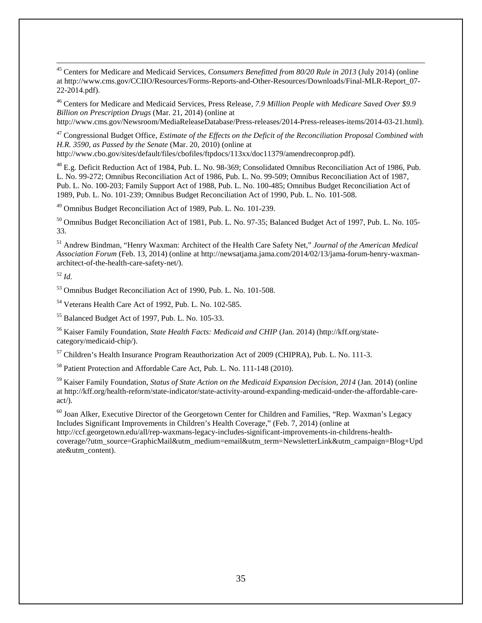<sup>45</sup> Centers for Medicare and Medicaid Services, *Consumers Benefitted from 80/20 Rule in 2013* (July 2014) (online at http://www.cms.gov/CCIIO/Resources/Forms-Reports-and-Other-Resources/Downloads/Final-MLR-Report\_07- 22-2014.pdf).  $\overline{a}$ 

<sup>46</sup> Centers for Medicare and Medicaid Services, Press Release, *7.9 Million People with Medicare Saved Over \$9.9 Billion on Prescription Drugs* (Mar. 21, 2014) (online at

http://www.cms.gov/Newsroom/MediaReleaseDatabase/Press-releases/2014-Press-releases-items/2014-03-21.html).

<sup>47</sup> Congressional Budget Office, *Estimate of the Effects on the Deficit of the Reconciliation Proposal Combined with H.R. 3590, as Passed by the Senate* (Mar. 20, 2010) (online at

[http://www.cbo.gov/sites/default/files/cbofiles/ftpdocs/113xx/doc11379/amendreconprop.pdf\)](http://www.cbo.gov/sites/default/files/cbofiles/ftpdocs/113xx/doc11379/amendreconprop.pdf).

<sup>48</sup> E.g. Deficit Reduction Act of 1984, Pub. L. No. 98-369; Consolidated Omnibus Reconciliation Act of 1986, Pub. L. No. 99-272; Omnibus Reconciliation Act of 1986, Pub. L. No. 99-509; Omnibus Reconciliation Act of 1987, Pub. L. No. 100-203; Family Support Act of 1988, Pub. L. No. 100-485; Omnibus Budget Reconciliation Act of 1989, Pub. L. No. 101-239; Omnibus Budget Reconciliation Act of 1990, Pub. L. No. 101-508.

<sup>49</sup> Omnibus Budget Reconciliation Act of 1989, Pub. L. No. 101-239.

<sup>50</sup> Omnibus Budget Reconciliation Act of 1981, Pub. L. No. 97-35; Balanced Budget Act of 1997, Pub. L. No. 105- 33.

<sup>51</sup> Andrew Bindman, "Henry Waxman: Architect of the Health Care Safety Net," *Journal of the American Medical Association Forum* (Feb. 13, 2014) (online a[t http://newsatjama.jama.com/2014/02/13/jama-forum-henry-waxman](http://newsatjama.jama.com/2014/02/13/jama-forum-henry-waxman-architect-of-the-health-care-safety-net/)[architect-of-the-health-care-safety-net/\)](http://newsatjama.jama.com/2014/02/13/jama-forum-henry-waxman-architect-of-the-health-care-safety-net/).

#### <span id="page-36-0"></span><sup>52</sup> *Id.*

<span id="page-36-1"></span><sup>53</sup> Omnibus Budget Reconciliation Act of 1990, Pub. L. No. 101-508.

<span id="page-36-2"></span><sup>54</sup> Veterans Health Care Act of 1992, Pub. L. No. 102-585.

<span id="page-36-3"></span><sup>55</sup> Balanced Budget Act of 1997, Pub. L. No. 105-33.

<span id="page-36-4"></span><sup>56</sup> Kaiser Family Foundation, *State Health Facts: Medicaid and CHIP* (Jan. 2014) [\(http://kff.org/state](http://kff.org/state-category/medicaid-chip/)[category/medicaid-chip/\)](http://kff.org/state-category/medicaid-chip/).

<span id="page-36-5"></span><sup>57</sup> Children's Health Insurance Program Reauthorization Act of 2009 (CHIPRA), Pub. L. No. 111-3.

<sup>58</sup> Patient Protection and Affordable Care Act, Pub. L. No. 111-148 (2010).

<sup>59</sup> Kaiser Family Foundation, *Status of State Action on the Medicaid Expansion Decision, 2014* (Jan. 2014) (online a[t http://kff.org/health-reform/state-indicator/state-activity-around-expanding-medicaid-under-the-affordable-care](http://kff.org/health-reform/state-indicator/state-activity-around-expanding-medicaid-under-the-affordable-care-act/)[act/\)](http://kff.org/health-reform/state-indicator/state-activity-around-expanding-medicaid-under-the-affordable-care-act/).

<sup>60</sup> Joan Alker, Executive Director of the Georgetown Center for Children and Families, "Rep. Waxman's Legacy Includes Significant Improvements in Children's Health Coverage," (Feb. 7, 2014) (online at [http://ccf.georgetown.edu/all/rep-waxmans-legacy-includes-significant-improvements-in-childrens-health-](http://ccf.georgetown.edu/all/rep-waxmans-legacy-includes-significant-improvements-in-childrens-health-coverage/?utm_source=GraphicMail&utm_medium=email&utm_term=NewsletterLink&utm_campaign=Blog+Update&utm_content)

[coverage/?utm\\_source=GraphicMail&utm\\_medium=email&utm\\_term=NewsletterLink&utm\\_campaign=Blog+Upd](http://ccf.georgetown.edu/all/rep-waxmans-legacy-includes-significant-improvements-in-childrens-health-coverage/?utm_source=GraphicMail&utm_medium=email&utm_term=NewsletterLink&utm_campaign=Blog+Update&utm_content) [ate&utm\\_content\)](http://ccf.georgetown.edu/all/rep-waxmans-legacy-includes-significant-improvements-in-childrens-health-coverage/?utm_source=GraphicMail&utm_medium=email&utm_term=NewsletterLink&utm_campaign=Blog+Update&utm_content).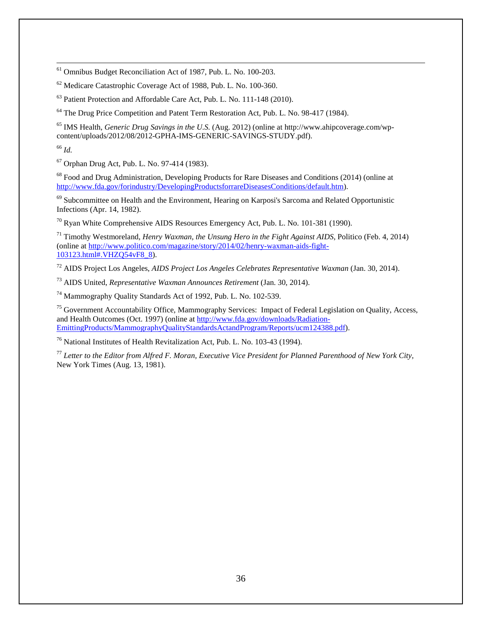<sup>61</sup> Omnibus Budget Reconciliation Act of 1987, Pub. L. No. 100-203.

 $62$  Medicare Catastrophic Coverage Act of 1988, Pub. L. No. 100-360.

<sup>63</sup> Patient Protection and Affordable Care Act, Pub. L. No. 111-148 (2010).

<sup>64</sup> The Drug Price Competition and Patent Term Restoration Act, Pub. L. No. 98-417 (1984).

<sup>65</sup> IMS Health, *Generic Drug Savings in the U.S.* (Aug. 2012) (online at http://www.ahipcoverage.com/wpcontent/uploads/2012/08/2012-GPHA-IMS-GENERIC-SAVINGS-STUDY.pdf).

<sup>66</sup> *Id.*

 $\overline{a}$ 

<sup>67</sup> Orphan Drug Act, Pub. L. No. 97-414 (1983).

<sup>68</sup> Food and Drug Administration, Developing Products for Rare Diseases and Conditions (2014) (online at [http://www.fda.gov/forindustry/DevelopingProductsforrareDiseasesConditions/default.htm\)](http://www.fda.gov/forindustry/DevelopingProductsforrareDiseasesConditions/default.htm).

 $69$  Subcommittee on Health and the Environment, Hearing on Karposi's Sarcoma and Related Opportunistic Infections (Apr. 14, 1982).

 $70$  Ryan White Comprehensive AIDS Resources Emergency Act, Pub. L. No. 101-381 (1990).

<sup>71</sup> Timothy Westmoreland, *Henry Waxman, the Unsung Hero in the Fight Against AIDS*, Politico (Feb. 4, 2014) (online at [http://www.politico.com/magazine/story/2014/02/henry-waxman-aids-fight-](http://www.politico.com/magazine/story/2014/02/henry-waxman-aids-fight-103123.html%23.VHZQ54vF8_8)[103123.html#.VHZQ54vF8\\_8\)](http://www.politico.com/magazine/story/2014/02/henry-waxman-aids-fight-103123.html%23.VHZQ54vF8_8).

<sup>72</sup> AIDS Project Los Angeles, *AIDS Project Los Angeles Celebrates Representative Waxman* (Jan. 30, 2014).

<sup>73</sup> AIDS United, *Representative Waxman Announces Retirement* (Jan. 30, 2014).

<sup>74</sup> Mammography Quality Standards Act of 1992, Pub. L. No. 102-539.

<sup>75</sup> Government Accountability Office, Mammography Services: Impact of Federal Legislation on Quality, Access, and Health Outcomes (Oct. 1997) (online at [http://www.fda.gov/downloads/Radiation-](http://www.fda.gov/downloads/Radiation-EmittingProducts/MammographyQualityStandardsActandProgram/Reports/ucm124388.pdf)[EmittingProducts/MammographyQualityStandardsActandProgram/Reports/ucm124388.pdf\)](http://www.fda.gov/downloads/Radiation-EmittingProducts/MammographyQualityStandardsActandProgram/Reports/ucm124388.pdf).

<sup>76</sup> National Institutes of Health Revitalization Act, Pub. L. No. 103-43 (1994).

<span id="page-37-5"></span><span id="page-37-4"></span><span id="page-37-3"></span><span id="page-37-2"></span><span id="page-37-1"></span><span id="page-37-0"></span><sup>77</sup> *Letter to the Editor from Alfred F. Moran, Executive Vice President for Planned Parenthood of New York City,* New York Times (Aug. 13, 1981).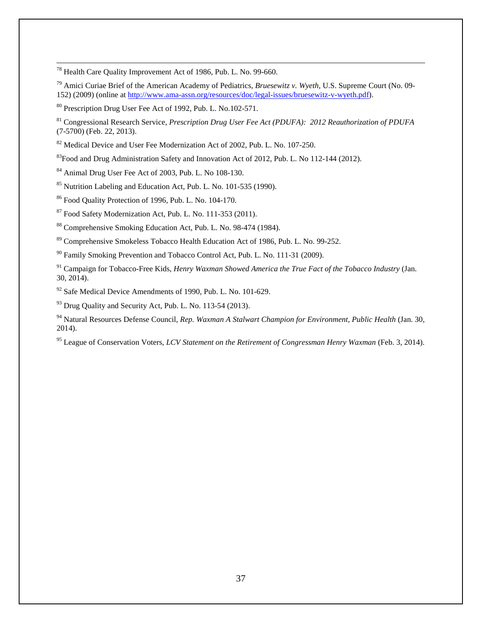<span id="page-38-0"></span><sup>78</sup> Health Care Quality Improvement Act of 1986, Pub. L. No. 99-660.

<sup>79</sup> Amici Curiae Brief of the American Academy of Pediatrics, *Bruesewitz v. Wyeth*, U.S. Supreme Court (No. 09- 152) (2009) (online at [http://www.ama-assn.org/resources/doc/legal-issues/bruesewitz-v-wyeth.pdf\)](http://www.ama-assn.org/resources/doc/legal-issues/bruesewitz-v-wyeth.pdf).

<span id="page-38-1"></span><sup>80</sup> Prescription Drug User Fee Act of 1992, Pub. L. No.102-571.

 $\overline{a}$ 

<sup>81</sup> Congressional Research Service, *Prescription Drug User Fee Act (PDUFA): 2012 Reauthorization of PDUFA* (7-5700) (Feb. 22, 2013).

<span id="page-38-2"></span><sup>82</sup> Medical Device and User Fee Modernization Act of 2002, Pub. L. No. 107-250.

<sup>83</sup>Food and Drug Administration Safety and Innovation Act of 2012, Pub. L. No 112-144 (2012).

<span id="page-38-3"></span><sup>84</sup> Animal Drug User Fee Act of 2003, Pub. L. No 108-130.

<sup>85</sup> Nutrition Labeling and Education Act, Pub. L. No. 101-535 (1990).

<sup>86</sup> Food Quality Protection of 1996, Pub. L. No. 104-170.

<span id="page-38-4"></span><sup>87</sup> Food Safety Modernization Act, Pub. L. No. 111-353 (2011).

<span id="page-38-5"></span><sup>88</sup> Comprehensive Smoking Education Act, Pub. L. No. 98-474 (1984).

<span id="page-38-6"></span><sup>89</sup> Comprehensive Smokeless Tobacco Health Education Act of 1986, Pub. L. No. 99-252.

<sup>90</sup> Family Smoking Prevention and Tobacco Control Act, Pub. L. No. 111-31 (2009).

<span id="page-38-7"></span><sup>91</sup> Campaign for Tobacco-Free Kids, *Henry Waxman Showed America the True Fact of the Tobacco Industry (Jan.* 30, 2014).

<span id="page-38-8"></span><sup>92</sup> Safe Medical Device Amendments of 1990, Pub. L. No. 101-629.

<span id="page-38-9"></span> $93$  Drug Quality and Security Act, Pub. L. No. 113-54 (2013).

<sup>94</sup> Natural Resources Defense Council, *Rep. Waxman A Stalwart Champion for Environment, Public Health* (Jan. 30, 2014).

<sup>95</sup> League of Conservation Voters, *LCV Statement on the Retirement of Congressman Henry Waxman* (Feb. 3, 2014).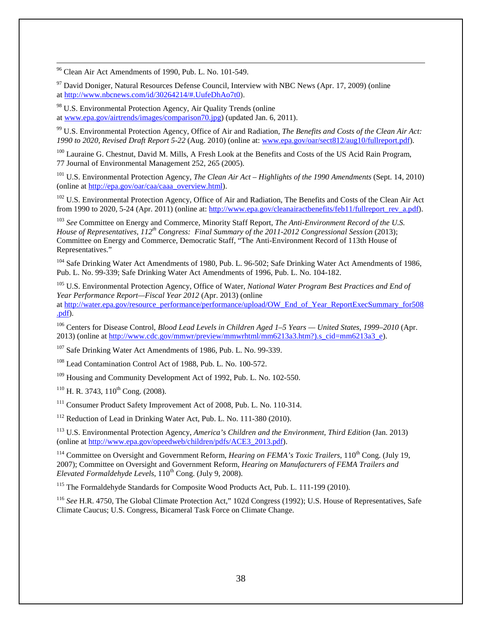<span id="page-39-6"></span><sup>96</sup> Clean Air Act Amendments of 1990, Pub. L. No. 101-549.

 $\overline{a}$ 

<span id="page-39-7"></span> $97$  David Doniger, Natural Resources Defense Council, Interview with NBC News (Apr. 17, 2009) (online at [http://www.nbcnews.com/id/30264214/#.UufeDhAo7t0\)](http://www.nbcnews.com/id/30264214/%23.UufeDhAo7t0).

<span id="page-39-8"></span><sup>98</sup> U.S. Environmental Protection Agency, Air Quality Trends (online

at [www.epa.gov/airtrends/images/comparison70.jpg\)](http://www.epa.gov/airtrends/images/comparison70.jpg) (updated Jan. 6, 2011).

<sup>99</sup> U.S. Environmental Protection Agency, Office of Air and Radiation, *The Benefits and Costs of the Clean Air Act: 1990 to 2020, Revised Draft Report 5-22* (Aug. 2010) (online at: [www.epa.gov/oar/sect812/aug10/fullreport.pdf\)](http://www.epa.gov/oar/sect812/aug10/fullreport.pdf).

<sup>100</sup> Lauraine G. Chestnut, David M. Mills, A Fresh Look at the Benefits and Costs of the US Acid Rain Program, 77 Journal of Environmental Management 252, 265 (2005).

<sup>101</sup> U.S. Environmental Protection Agency, *The Clean Air Act – Highlights of the 1990 Amendments* (Sept. 14, 2010) (online at [http://epa.gov/oar/caa/caaa\\_overview.html\)](http://epa.gov/oar/caa/caaa_overview.html).

<sup>102</sup> U.S. Environmental Protection Agency, Office of Air and Radiation, The Benefits and Costs of the Clean Air Act from 1990 to 2020, 5-24 (Apr. 2011) (online at: [http://www.epa.gov/cleanairactbenefits/feb11/fullreport\\_rev\\_a.pdf\)](http://www.epa.gov/cleanairactbenefits/feb11/fullreport_rev_a.pdf).

<sup>103</sup> See Committee on Energy and Commerce, Minority Staff Report, *The Anti-Environment Record of the U.S. House of Representatives, 112th Congress: Final Summary of the 2011-2012 Congressional Session* (2013); Committee on Energy and Commerce, Democratic Staff, "The Anti-Environment Record of 113th House of Representatives."

<sup>104</sup> Safe Drinking Water Act Amendments of 1980, Pub. L. 96-502; Safe Drinking Water Act Amendments of 1986, Pub. L. No. 99-339; Safe Drinking Water Act Amendments of 1996, Pub. L. No. 104-182.

<sup>105</sup> U.S. Environmental Protection Agency, Office of Water, *National Water Program Best Practices and End of Year Performance Report—Fiscal Year 2012* (Apr. 2013) (online at [http://water.epa.gov/resource\\_performance/performance/upload/OW\\_End\\_of\\_Year\\_ReportExecSummary\\_for508](http://water.epa.gov/resource_performance/performance/upload/OW_End_of_Year_ReportExecSummary_for508.pdf) [.pdf\)](http://water.epa.gov/resource_performance/performance/upload/OW_End_of_Year_ReportExecSummary_for508.pdf).

<span id="page-39-1"></span><span id="page-39-0"></span><sup>106</sup> Centers for Disease Control, *Blood Lead Levels in Children Aged 1–5 Years — United States, 1999–2010* (Apr. 2013) (online at [http://www.cdc.gov/mmwr/preview/mmwrhtml/mm6213a3.htm?\).s\\_cid=mm6213a3\\_e\)](http://www.cdc.gov/mmwr/preview/mmwrhtml/mm6213a3.htm?).s_cid=mm6213a3_e).

<span id="page-39-2"></span><sup>107</sup> Safe Drinking Water Act Amendments of 1986, Pub. L. No. 99-339.

<span id="page-39-3"></span><sup>108</sup> Lead Contamination Control Act of 1988, Pub. L. No. 100-572.

<span id="page-39-4"></span><sup>109</sup> Housing and Community Development Act of 1992, Pub. L. No. 102-550.

 $110$  H. R. 3743,  $110^{th}$  Cong. (2008).

<sup>111</sup> Consumer Product Safety Improvement Act of 2008, Pub. L. No. 110-314.

<span id="page-39-5"></span><sup>112</sup> Reduction of Lead in Drinking Water Act, Pub. L. No. 111-380 (2010).

<sup>113</sup> U.S. Environmental Protection Agency, *America's Children and the Environment, Third Edition* (Jan. 2013) (online at [http://www.epa.gov/opeedweb/children/pdfs/ACE3\\_2013.pdf\)](http://www.epa.gov/opeedweb/children/pdfs/ACE3_2013.pdf).

<sup>114</sup> Committee on Oversight and Government Reform, *Hearing on FEMA's Toxic Trailers*, 110<sup>th</sup> Cong. (July 19, 2007); Committee on Oversight and Government Reform, *Hearing on Manufacturers of FEMA Trailers and Elevated Formaldehyde Levels*,  $110^{th}$  Cong. (July 9, 2008).

<sup>115</sup> The Formaldehyde Standards for Composite Wood Products Act, Pub. L. 111-199 (2010).

<sup>116</sup> *See* H.R. 4750, The Global Climate Protection Act," 102d Congress (1992); U.S. House of Representatives, Safe Climate Caucus; U.S. Congress, Bicameral Task Force on Climate Change.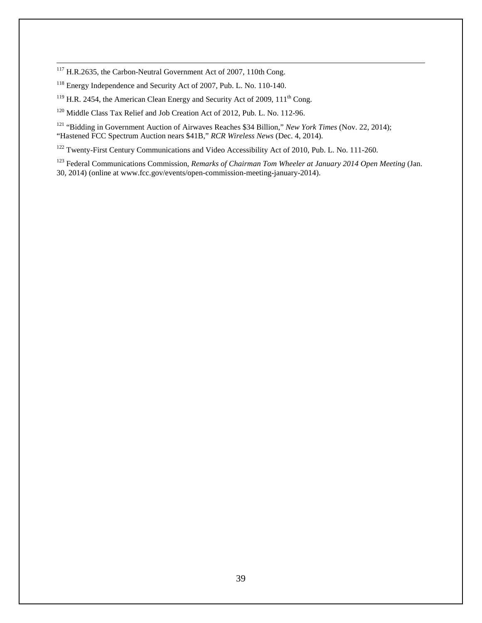<sup>117</sup> H.R.2635, the Carbon-Neutral Government Act of 2007, 110th Cong.

 $\overline{a}$ 

<sup>118</sup> Energy Independence and Security Act of 2007, Pub. L. No. 110-140.

<sup>119</sup> H.R. 2454, the American Clean Energy and Security Act of 2009,  $111<sup>th</sup>$  Cong.

<span id="page-40-0"></span><sup>120</sup> Middle Class Tax Relief and Job Creation Act of 2012, Pub. L. No. 112-96.

<span id="page-40-1"></span><sup>121</sup> "Bidding in Government Auction of Airwaves Reaches \$34 Billion," *New York Times* (Nov. 22, 2014); "Hastened FCC Spectrum Auction nears \$41B," *RCR Wireless News* (Dec. 4, 2014).

<span id="page-40-2"></span><sup>122</sup> Twenty-First Century Communications and Video Accessibility Act of 2010, Pub. L. No. 111-260.

<span id="page-40-4"></span><span id="page-40-3"></span><sup>123</sup> Federal Communications Commission, *Remarks of Chairman Tom Wheeler at January 2014 Open Meeting* (Jan. 30, 2014) (online at www.fcc.gov/events/open-commission-meeting-january-2014).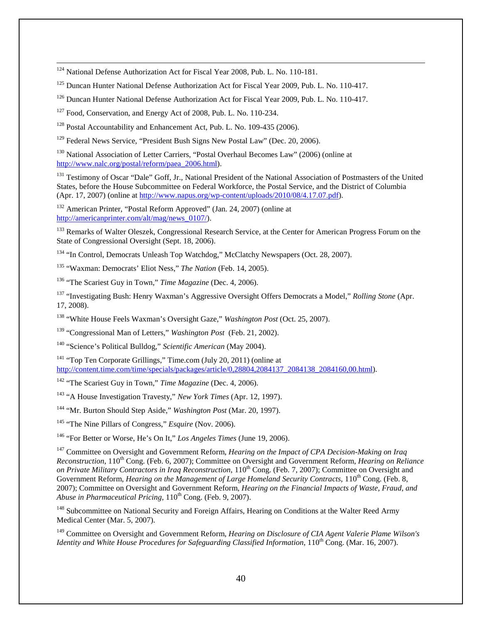<span id="page-41-9"></span><sup>124</sup> National Defense Authorization Act for Fiscal Year 2008, Pub. L. No. 110-181.

<sup>125</sup> Duncan Hunter National Defense Authorization Act for Fiscal Year 2009, Pub. L. No. 110-417.

<sup>126</sup> Duncan Hunter National Defense Authorization Act for Fiscal Year 2009, Pub. L. No. 110-417.

 $127$  Food, Conservation, and Energy Act of 2008, Pub. L. No. 110-234.

 $\overline{a}$ 

<sup>128</sup> Postal Accountability and Enhancement Act, Pub. L. No. 109-435 (2006).

<sup>129</sup> Federal News Service, "President Bush Signs New Postal Law" (Dec. 20, 2006).

<sup>130</sup> National Association of Letter Carriers, "Postal Overhaul Becomes Law" (2006) (online at [http://www.nalc.org/postal/reform/paea\\_2006.html\)](http://www.nalc.org/postal/reform/paea_2006.html).

<sup>131</sup> Testimony of Oscar "Dale" Goff, Jr., National President of the National Association of Postmasters of the United States, before the House Subcommittee on Federal Workforce, the Postal Service, and the District of Columbia (Apr. 17, 2007) (online at [http://www.napus.org/wp-content/uploads/2010/08/4.17.07.pdf\)](http://www.napus.org/wp-content/uploads/2010/08/4.17.07.pdf).

<span id="page-41-0"></span><sup>132</sup> American Printer, "Postal Reform Approved" (Jan. 24, 2007) (online at [http://americanprinter.com/alt/mag/news\\_0107/\)](http://americanprinter.com/alt/mag/news_0107/).

<span id="page-41-2"></span><span id="page-41-1"></span><sup>133</sup> Remarks of Walter Oleszek, Congressional Research Service, at the Center for American Progress Forum on the State of Congressional Oversight (Sept. 18, 2006).

<sup>134</sup> "In Control, Democrats Unleash Top Watchdog," McClatchy Newspapers (Oct. 28, 2007).

<span id="page-41-3"></span><sup>135</sup> "Waxman: Democrats' Eliot Ness," *The Nation* (Feb. 14, 2005).

<span id="page-41-4"></span><sup>136</sup> "The Scariest Guy in Town," *Time Magazine* (Dec. 4, 2006).

<span id="page-41-5"></span><sup>137</sup> "Investigating Bush: Henry Waxman's Aggressive Oversight Offers Democrats a Model," *Rolling Stone* (Apr. 17, 2008).

<span id="page-41-6"></span><sup>138</sup> "White House Feels Waxman's Oversight Gaze," *Washington Post* (Oct. 25, 2007).

<sup>139</sup> "Congressional Man of Letters," *Washington Post* (Feb. 21, 2002).

<span id="page-41-7"></span><sup>140</sup> "Science's Political Bulldog," *Scientific American* (May 2004).

<span id="page-41-8"></span><sup>141</sup> "Top Ten Corporate Grillings," Time.com (July 20, 2011) (online at [http://content.time.com/time/specials/packages/article/0,28804,2084137\\_2084138\\_2084160,00.html\)](http://content.time.com/time/specials/packages/article/0,28804,2084137_2084138_2084160,00.html).

<sup>142</sup> "The Scariest Guy in Town," *Time Magazine* (Dec. 4, 2006).

<sup>143</sup> "A House Investigation Travesty," *New York Times* (Apr. 12, 1997).

<sup>144</sup> "Mr. Burton Should Step Aside," *Washington Post* (Mar. 20, 1997).

<sup>145</sup> "The Nine Pillars of Congress," *Esquire* (Nov. 2006).

<sup>146</sup> "For Better or Worse, He's On It," *Los Angeles Times* (June 19, 2006).

<sup>147</sup> Committee on Oversight and Government Reform, *Hearing on the Impact of CPA Decision-Making on Iraq Reconstruction*, 110th Cong. (Feb. 6, 2007); Committee on Oversight and Government Reform, *Hearing on Reliance on Private Military Contractors in Iraq Reconstruction*, 110<sup>th</sup> Cong. (Feb. 7, 2007); Committee on Oversight and *on Private Military Contractors in Iraq Reconstruction*, 110<sup>th</sup> Cong. (Feb. 7, 2007); Committee on Oversi Government Reform, *Hearing on the Management of Large Homeland Security Contracts*, 110<sup>th</sup> Cong. (Feb. 8, 2007); Committee on Oversight and Government Reform, *Hearing on the Financial Impacts of Waste, Fraud, and Abuse in Pharmaceutical Pricing*, 110<sup>th</sup> Cong. (Feb. 9, 2007).

<sup>148</sup> Subcommittee on National Security and Foreign Affairs, Hearing on Conditions at the Walter Reed Army Medical Center (Mar. 5, 2007).

<sup>149</sup> Committee on Oversight and Government Reform, *Hearing on Disclosure of CIA Agent Valerie Plame Wilson's Identity and White House Procedures for Safeguarding Classified Information*, 110<sup>th</sup> Cong. (Mar. 16, 2007).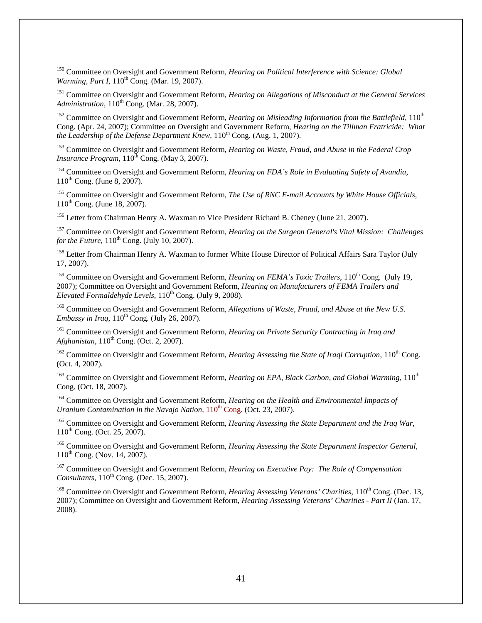<sup>150</sup> Committee on Oversight and Government Reform, *Hearing on Political Interference with Science: Global Warming, Part I,* 110<sup>th</sup> Cong. (Mar. 19, 2007).

 $\overline{a}$ 

<span id="page-42-0"></span><sup>151</sup> Committee on Oversight and Government Reform, *Hearing on Allegations of Misconduct at the General Services Administration*, 110<sup>th</sup> Cong. (Mar. 28, 2007).

<span id="page-42-2"></span><span id="page-42-1"></span><sup>152</sup> Committee on Oversight and Government Reform, *Hearing on Misleading Information from the Battlefield*, 110<sup>th</sup> Cong. (Apr. 24, 2007); Committee on Oversight and Government Reform, *Hearing on the Tillman Fratricide: What the Leadership of the Defense Department Knew*,  $110^{th}$  Cong. (Aug. 1, 2007).

<span id="page-42-4"></span><span id="page-42-3"></span><sup>153</sup> Committee on Oversight and Government Reform, *Hearing on Waste, Fraud, and Abuse in the Federal Crop Insurance Program*,  $110^{\text{th}}$  Cong. (May 3, 2007).

<span id="page-42-5"></span><sup>154</sup> Committee on Oversight and Government Reform, *Hearing on FDA's Role in Evaluating Safety of Avandia*, 110th Cong. (June 8, 2007).

<span id="page-42-6"></span><sup>155</sup> Committee on Oversight and Government Reform, *The Use of RNC E-mail Accounts by White House Officials*,  $110^{th}$  Cong. (June 18, 2007).

<sup>156</sup> Letter from Chairman Henry A. Waxman to Vice President Richard B. Cheney (June 21, 2007).

<sup>157</sup> Committee on Oversight and Government Reform, *Hearing on the Surgeon General's Vital Mission: Challenges for the Future*,  $110^{th}$  Cong. (July 10, 2007).

<sup>158</sup> Letter from Chairman Henry A. Waxman to former White House Director of Political Affairs Sara Taylor (July 17, 2007).

<sup>159</sup> Committee on Oversight and Government Reform, *Hearing on FEMA's Toxic Trailers*, 110<sup>th</sup> Cong. (July 19, 2007); Committee on Oversight and Government Reform, *Hearing on Manufacturers of FEMA Trailers and Elevated Formaldehyde Levels*, 110<sup>th</sup> Cong. (July 9, 2008).

<sup>160</sup> Committee on Oversight and Government Reform, *Allegations of Waste, Fraud, and Abuse at the New U.S. Embassy in Iraq*,  $110^{th}$  Cong. (July 26, 2007).

<sup>161</sup> Committee on Oversight and Government Reform, *Hearing on Private Security Contracting in Iraq and Afghanistan*, 110<sup>th</sup> Cong. (Oct. 2, 2007).

<sup>162</sup> Committee on Oversight and Government Reform, *Hearing Assessing the State of Iraqi Corruption*, 110<sup>th</sup> Cong. (Oct. 4, 2007).

<sup>163</sup> Committee on Oversight and Government Reform, *Hearing on EPA, Black Carbon, and Global Warming*, 110<sup>th</sup> Cong. (Oct. 18, 2007).

<sup>164</sup> Committee on Oversight and Government Reform, *Hearing on the Health and Environmental Impacts of Uranium Contamination in the Navajo Nation*,  $110^{th}$  Cong. (Oct. 23, 2007).

<sup>165</sup> Committee on Oversight and Government Reform, *Hearing Assessing the State Department and the Iraq War*,  $110^{th}$  Cong. (Oct. 25, 2007).

<sup>166</sup> Committee on Oversight and Government Reform, *Hearing Assessing the State Department Inspector General*, 110th Cong. (Nov. 14, 2007).

<sup>167</sup> Committee on Oversight and Government Reform, *Hearing on Executive Pay: The Role of Compensation Consultants*, 110<sup>th</sup> Cong. (Dec. 15, 2007).

<sup>168</sup> Committee on Oversight and Government Reform, *Hearing Assessing Veterans' Charities*, 110<sup>th</sup> Cong. (Dec. 13, 2007); Committee on Oversight and Government Reform, *Hearing Assessing Veterans' Charities - Part II* (Jan. 17, 2008).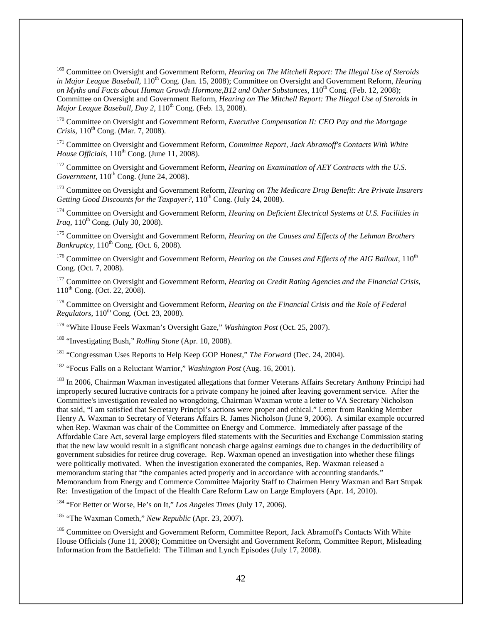<sup>169</sup> Committee on Oversight and Government Reform, *Hearing on The Mitchell Report: The Illegal Use of Steroids in Major League Baseball*, 110<sup>th</sup> Cong. (Jan. 15, 2008); Committee on Oversight and Government Reform, *Hearing* on Myths and Facts about Human Growth Hormone, B12 and Other Substances, 110<sup>th</sup> Cong. (Feb. 12, 2008); Committee on Oversight and Government Reform, *Hearing on The Mitchell Report: The Illegal Use of Steroids in Major League Baseball, Day 2,*  $110^{th}$  *Cong. (Feb. 13, 2008).*  $\overline{a}$ 

<sup>170</sup> Committee on Oversight and Government Reform, *Executive Compensation II: CEO Pay and the Mortgage Crisis*, 110<sup>th</sup> Cong. (Mar. 7, 2008).

<sup>171</sup> Committee on Oversight and Government Reform, *Committee Report, Jack Abramoff's Contacts With White House Officials*,  $110^{th}$  Cong. (June 11, 2008).

<sup>172</sup> Committee on Oversight and Government Reform, *Hearing on Examination of AEY Contracts with the U.S. Government*,  $110^{th}$  Cong. (June 24, 2008).

<span id="page-43-0"></span><sup>173</sup> Committee on Oversight and Government Reform, *Hearing on The Medicare Drug Benefit: Are Private Insurers Getting Good Discounts for the Taxpayer?*, 110<sup>th</sup> Cong. (July 24, 2008).

<span id="page-43-1"></span><sup>174</sup> Committee on Oversight and Government Reform, *Hearing on Deficient Electrical Systems at U.S. Facilities in Iraq*,  $110^{th}$  Cong. (July 30, 2008).

<span id="page-43-3"></span><span id="page-43-2"></span><sup>175</sup> Committee on Oversight and Government Reform, *Hearing on the Causes and Effects of the Lehman Brothers Bankruptcy*, 110<sup>th</sup> Cong. (Oct. 6, 2008).

<sup>176</sup> Committee on Oversight and Government Reform, *Hearing on the Causes and Effects of the AIG Bailout*, 110<sup>th</sup> Cong. (Oct. 7, 2008).

<sup>177</sup> Committee on Oversight and Government Reform, *Hearing on Credit Rating Agencies and the Financial Crisis*, 110<sup>th</sup> Cong. (Oct. 22, 2008).

<sup>178</sup> Committee on Oversight and Government Reform, *Hearing on the Financial Crisis and the Role of Federal Regulators*,  $110^{th}$  Cong. (Oct. 23, 2008).

<sup>179</sup> "White House Feels Waxman's Oversight Gaze," *Washington Post* (Oct. 25, 2007).

<sup>180</sup> "Investigating Bush," *Rolling Stone* (Apr. 10, 2008).

<sup>181</sup> "Congressman Uses Reports to Help Keep GOP Honest," *The Forward* (Dec. 24, 2004).

<sup>182</sup> "Focus Falls on a Reluctant Warrior," *Washington Post* (Aug. 16, 2001).

<sup>183</sup> In 2006, Chairman Waxman investigated allegations that former Veterans Affairs Secretary Anthony Principi had improperly secured lucrative contracts for a private company he joined after leaving government service. After the Committee's investigation revealed no wrongdoing, Chairman Waxman wrote a letter to VA Secretary Nicholson that said, "I am satisfied that Secretary Principi's actions were proper and ethical." Letter from Ranking Member Henry A. Waxman to Secretary of Veterans Affairs R. James Nicholson (June 9, 2006). A similar example occurred when Rep. Waxman was chair of the Committee on Energy and Commerce. Immediately after passage of the Affordable Care Act, several large employers filed statements with the Securities and Exchange Commission stating that the new law would result in a significant noncash charge against earnings due to changes in the deductibility of government subsidies for retiree drug coverage. Rep. Waxman opened an investigation into whether these filings were politically motivated. When the investigation exonerated the companies, Rep. Waxman released a memorandum stating that "the companies acted properly and in accordance with accounting standards." Memorandum from Energy and Commerce Committee Majority Staff to Chairmen Henry Waxman and Bart Stupak Re: Investigation of the Impact of the Health Care Reform Law on Large Employers (Apr. 14, 2010).

<sup>184</sup> "For Better or Worse, He's on It," *Los Angeles Times* (July 17, 2006).

<sup>185</sup> "The Waxman Cometh," *New Republic* (Apr. 23, 2007).

<sup>186</sup> Committee on Oversight and Government Reform, Committee Report, Jack Abramoff's Contacts With White House Officials (June 11, 2008); Committee on Oversight and Government Reform, Committee Report, Misleading Information from the Battlefield: The Tillman and Lynch Episodes (July 17, 2008).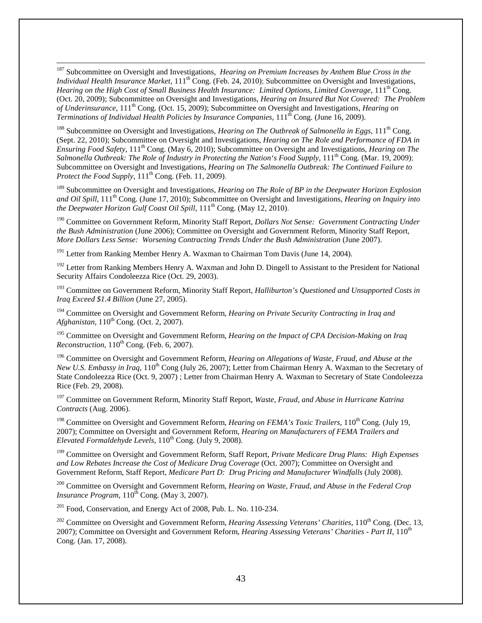<sup>187</sup> Subcommittee on Oversight and Investigations, *Hearing on Premium Increases by Anthem Blue Cross in the Individual Health Insurance Market*,  $111<sup>th</sup>$  Cong. (Feb. 24, 2010); Subcommittee on Oversight and Investigations, *Hearing on the High Cost of Small Business Health Insurance: Limited Options, Limited Coverage,* 111<sup>th</sup> Cong. (Oct. 20, 2009); Subcommittee on Oversight and Investigations, *Hearing on Insured But Not Covered: The Problem of Underinsurance*, 111th Cong. (Oct. 15, 2009); Subcommittee on Oversight and Investigations, *Hearing on Terminations of Individual Health Policies by Insurance Companies*, 111<sup>th</sup> Cong. (June 16, 2009).  $\overline{a}$ 

<sup>188</sup> Subcommittee on Oversight and Investigations, *Hearing on The Outbreak of Salmonella in Eggs*, 111<sup>th</sup> Cong. (Sept. 22, 2010); Subcommittee on Oversight and Investigations, *Hearing on The Role and Performance of FDA in Ensuring Food Safety*, 111<sup>th</sup> Cong. (May 6, 2010); Subcommittee on Oversight and Investigations, *Hearing on The* Salmonella Outbreak: The Role of Industry in Protecting the Nation's Food Supply, 111<sup>th</sup> Cong. (Mar. 19, 2009); Subcommittee on Oversight and Investigations, *Hearing on The Salmonella Outbreak: The Continued Failure to Protect the Food Supply*,  $111<sup>th</sup> Cong.$  (Feb. 11, 2009).

<sup>189</sup> Subcommittee on Oversight and Investigations, *Hearing on The Role of BP in the Deepwater Horizon Explosion and Oil Spill*, 111th Cong. (June 17, 2010); Subcommittee on Oversight and Investigations, *Hearing on Inquiry into the Deepwater Horizon Gulf Coast Oil Spill*,  $111<sup>th</sup>$  Cong. (May 12, 2010).

<sup>190</sup> Committee on Government Reform, Minority Staff Report, *Dollars Not Sense: Government Contracting Under the Bush Administration* (June 2006); Committee on Oversight and Government Reform, Minority Staff Report, *More Dollars Less Sense: Worsening Contracting Trends Under the Bush Administration* (June 2007).

<sup>191</sup> Letter from Ranking Member Henry A. Waxman to Chairman Tom Davis (June 14, 2004).

<span id="page-44-1"></span><span id="page-44-0"></span><sup>192</sup> Letter from Ranking Members Henry A. Waxman and John D. Dingell to Assistant to the President for National Security Affairs Condoleezza Rice (Oct. 29, 2003).

<span id="page-44-2"></span><sup>193</sup> Committee on Government Reform, Minority Staff Report, *Halliburton's Questioned and Unsupported Costs in Iraq Exceed \$1.4 Billion* (June 27, 2005).

<span id="page-44-3"></span><sup>194</sup> Committee on Oversight and Government Reform, *Hearing on Private Security Contracting in Iraq and Afghanistan*, 110<sup>th</sup> Cong. (Oct. 2, 2007).

<sup>195</sup> Committee on Oversight and Government Reform, *Hearing on the Impact of CPA Decision-Making on Iraq*   $Reconstruction$ ,  $110^{th}$  Cong. (Feb. 6, 2007).

<sup>196</sup> Committee on Oversight and Government Reform, *Hearing on Allegations of Waste, Fraud, and Abuse at the New U.S. Embassy in Iraq*, 110<sup>th</sup> Cong (July 26, 2007); Letter from Chairman Henry A. Waxman to the Secretary of State Condoleezza Rice (Oct. 9, 2007) ; Letter from Chairman Henry A. Waxman to Secretary of State Condoleezza Rice (Feb. 29, 2008).

<sup>197</sup> Committee on Government Reform, Minority Staff Report, *Waste, Fraud, and Abuse in Hurricane Katrina Contracts* (Aug. 2006).

<sup>198</sup> Committee on Oversight and Government Reform, *Hearing on FEMA's Toxic Trailers*, 110<sup>th</sup> Cong. (July 19, 2007); Committee on Oversight and Government Reform, *Hearing on Manufacturers of FEMA Trailers and Elevated Formaldehyde Levels*, 110<sup>th</sup> Cong. (July 9, 2008).

<sup>199</sup> Committee on Oversight and Government Reform, Staff Report, *Private Medicare Drug Plans: High Expenses and Low Rebates Increase the Cost of Medicare Drug Coverage* (Oct. 2007); Committee on Oversight and Government Reform, Staff Report, *Medicare Part D: Drug Pricing and Manufacturer Windfalls* (July 2008).

<sup>200</sup> Committee on Oversight and Government Reform, *Hearing on Waste, Fraud, and Abuse in the Federal Crop Insurance Program*,  $110^{th}$  Cong. (May 3, 2007).

<sup>201</sup> Food, Conservation, and Energy Act of 2008, Pub. L. No. 110-234.

<sup>202</sup> Committee on Oversight and Government Reform, *Hearing Assessing Veterans' Charities*, 110<sup>th</sup> Cong. (Dec. 13, 2007); Committee on Oversight and Government Reform, *Hearing Assessing Veterans' Charities - Part II*, 110th Cong. (Jan. 17, 2008).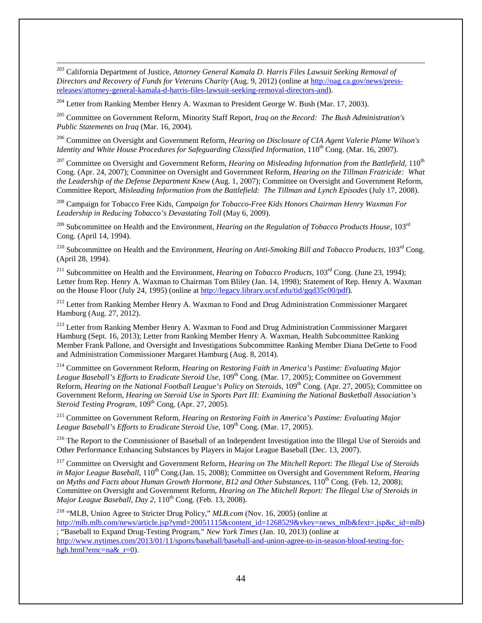<span id="page-45-3"></span><span id="page-45-2"></span><sup>203</sup> California Department of Justice, *Attorney General Kamala D. Harris Files Lawsuit Seeking Removal of Directors and Recovery of Funds for Veterans Charity* (Aug. 9, 2012) (online at [http://oag.ca.gov/news/press](http://oag.ca.gov/news/press-releases/attorney-general-kamala-d-harris-files-lawsuit-seeking-removal-directors-and)[releases/attorney-general-kamala-d-harris-files-lawsuit-seeking-removal-directors-and\)](http://oag.ca.gov/news/press-releases/attorney-general-kamala-d-harris-files-lawsuit-seeking-removal-directors-and).

 $204$  Letter from Ranking Member Henry A. Waxman to President George W. Bush (Mar. 17, 2003).

 $\overline{a}$ 

<span id="page-45-4"></span><sup>205</sup> Committee on Government Reform, Minority Staff Report, *Iraq on the Record: The Bush Administration's Public Statements on Iraq* (Mar. 16, 2004).

<span id="page-45-5"></span><sup>206</sup> Committee on Oversight and Government Reform, *Hearing on Disclosure of CIA Agent Valerie Plame Wilson's Identity and White House Procedures for Safeguarding Classified Information*, 110<sup>th</sup> Cong. (Mar. 16, 2007).

<span id="page-45-7"></span><span id="page-45-6"></span><sup>207</sup> Committee on Oversight and Government Reform, *Hearing on Misleading Information from the Battlefield*, 110<sup>th</sup> Cong. (Apr. 24, 2007); Committee on Oversight and Government Reform, *Hearing on the Tillman Fratricide: What the Leadership of the Defense Department Knew* (Aug. 1, 2007); Committee on Oversight and Government Reform, Committee Report, *Misleading Information from the Battlefield: The Tillman and Lynch Episodes* (July 17, 2008).

<span id="page-45-8"></span><sup>208</sup> Campaign for Tobacco Free Kids, *Campaign for Tobacco-Free Kids Honors Chairman Henry Waxman For Leadership in Reducing Tobacco's Devastating Toll* (May 6, 2009).

<span id="page-45-9"></span><sup>209</sup> Subcommittee on Health and the Environment, *Hearing on the Regulation of Tobacco Products House*, 103rd Cong. (April 14, 1994).

<sup>210</sup> Subcommittee on Health and the Environment, *Hearing on Anti-Smoking Bill and Tobacco Products*, 103rd Cong. (April 28, 1994).

<sup>211</sup> Subcommittee on Health and the Environment, *Hearing on Tobacco Products*, 103<sup>rd</sup> Cong. (June 23, 1994); Letter from Rep. Henry A. Waxman to Chairman Tom Bliley (Jan. 14, 1998); Statement of Rep. Henry A. Waxman on the House Floor (July 24, 1995) (online at [http://legacy.library.ucsf.edu/tid/gqd35c00/pdf\)](http://legacy.library.ucsf.edu/tid/gqd35c00/pdf).

<sup>212</sup> Letter from Ranking Member Henry A. Waxman to Food and Drug Administration Commissioner Margaret Hamburg (Aug. 27, 2012).

<span id="page-45-1"></span><span id="page-45-0"></span><sup>213</sup> Letter from Ranking Member Henry A. Waxman to Food and Drug Administration Commissioner Margaret Hamburg (Sept. 16, 2013); Letter from Ranking Member Henry A. Waxman, Health Subcommittee Ranking Member Frank Pallone, and Oversight and Investigations Subcommittee Ranking Member Diana DeGette to Food and Administration Commissioner Margaret Hamburg (Aug. 8, 2014).

<sup>214</sup> Committee on Government Reform, *Hearing on Restoring Faith in America's Pastime: Evaluating Major*  League Baseball's Efforts to Eradicate Steroid Use, 109<sup>th</sup> Cong. (Mar. 17, 2005); Committee on Government Reform, *Hearing on the National Football League's Policy on Steroids*, 109<sup>th</sup> Cong. (Apr. 27, 2005); Committee on Government Reform, *Hearing on Steroid Use in Sports Part III: Examining the National Basketball Association's Steroid Testing Program*,  $109^{th}$  Cong. (Apr. 27, 2005).

<sup>215</sup> Committee on Government Reform, *Hearing on Restoring Faith in America's Pastime: Evaluating Major*  League Baseball's Efforts to Eradicate Steroid Use, 109<sup>th</sup> Cong. (Mar. 17, 2005).

<sup>216</sup> The Report to the Commissioner of Baseball of an Independent Investigation into the Illegal Use of Steroids and Other Performance Enhancing Substances by Players in Major League Baseball (Dec. 13, 2007).

<sup>217</sup> Committee on Oversight and Government Reform*, Hearing on The Mitchell Report: The Illegal Use of Steroids in Major League Baseball*, 110<sup>th</sup> Cong.(Jan. 15, 2008); Committee on Oversight and Government Reform, *Hearing on Myths and Facts about Human Growth Hormone, B12 and Other Substances,* 110<sup>th</sup> Cong. (Feb. 12, 2008); Committee on Oversight and Government Reform, *Hearing on The Mitchell Report: The Illegal Use of Steroids in Major League Baseball, Day 2, 110<sup>th</sup> Cong. (Feb. 13, 2008).* 

<sup>218</sup> "MLB, Union Agree to Stricter Drug Policy," *MLB.com* (Nov. 16, 2005) (online at [http://mlb.mlb.com/news/article.jsp?ymd=20051115&content\\_id=1268529&vkey=news\\_mlb&fext=.jsp&c\\_id=mlb\)](http://mlb.mlb.com/news/article.jsp?ymd=20051115&content_id=1268529&vkey=news_mlb&fext=.jsp&c_id=mlb)

; "Baseball to Expand Drug-Testing Program," *New York Times* (Jan. 10, 2013) (online at [http://www.nytimes.com/2013/01/11/sports/baseball/baseball-and-union-agree-to-in-season-blood-testing-for](http://www.nytimes.com/2013/01/11/sports/baseball/baseball-and-union-agree-to-in-season-blood-testing-for-hgh.html?emc=na&_r=0)hgh.html?emc=na& $r=0$ ).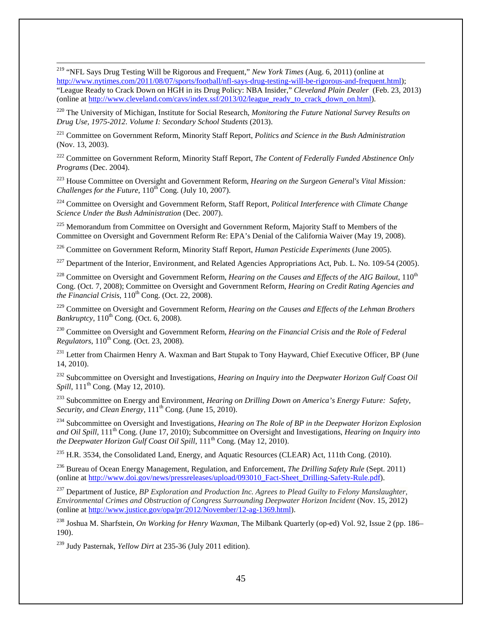<sup>219</sup> "NFL Says Drug Testing Will be Rigorous and Frequent," *New York Times* (Aug. 6, 2011) (online at [http://www.nytimes.com/2011/08/07/sports/football/nfl-says-drug-testing-will-be-rigorous-and-frequent.html\)](http://www.nytimes.com/2011/08/07/sports/football/nfl-says-drug-testing-will-be-rigorous-and-frequent.html); "League Ready to Crack Down on HGH in its Drug Policy: NBA Insider," *Cleveland Plain Dealer* (Feb. 23, 2013) (online at [http://www.cleveland.com/cavs/index.ssf/2013/02/league\\_ready\\_to\\_crack\\_down\\_on.html\)](http://www.cleveland.com/cavs/index.ssf/2013/02/league_ready_to_crack_down_on.html).  $\overline{a}$ 

<sup>220</sup> The University of Michigan, Institute for Social Research, *Monitoring the Future National Survey Results on Drug Use, 1975-2012. Volume I: Secondary School Students* (2013).

<sup>221</sup> Committee on Government Reform, Minority Staff Report, *Politics and Science in the Bush Administration* (Nov. 13, 2003).

<sup>222</sup> Committee on Government Reform, Minority Staff Report, *The Content of Federally Funded Abstinence Only Programs* (Dec. 2004).

<sup>223</sup> House Committee on Oversight and Government Reform, *Hearing on the Surgeon General's Vital Mission: Challenges for the Future*,  $110^{th}$  Cong. (July 10, 2007).

<sup>224</sup> Committee on Oversight and Government Reform, Staff Report, *Political Interference with Climate Change Science Under the Bush Administration* (Dec. 2007).

<sup>225</sup> Memorandum from Committee on Oversight and Government Reform, Majority Staff to Members of the Committee on Oversight and Government Reform Re: EPA's Denial of the California Waiver (May 19, 2008).

<sup>226</sup> Committee on Government Reform, Minority Staff Report, *Human Pesticide Experiments* (June 2005).

<span id="page-46-0"></span> $^{227}$  Department of the Interior, Environment, and Related Agencies Appropriations Act, Pub. L. No. 109-54 (2005).

<span id="page-46-1"></span><sup>228</sup> Committee on Oversight and Government Reform, *Hearing on the Causes and Effects of the AIG Bailout*, 110<sup>th</sup> Cong. (Oct. 7, 2008); Committee on Oversight and Government Reform, *Hearing on Credit Rating Agencies and the Financial Crisis*,  $110^{th}$  Cong. (Oct. 22, 2008).

<sup>229</sup> Committee on Oversight and Government Reform, *Hearing on the Causes and Effects of the Lehman Brothers Bankruptcy*,  $110^{th}$  Cong. (Oct. 6, 2008).

<span id="page-46-2"></span><sup>230</sup> Committee on Oversight and Government Reform, *Hearing on the Financial Crisis and the Role of Federal Regulators*,  $110^{th}$  Cong. (Oct. 23, 2008).

<span id="page-46-3"></span><sup>231</sup> Letter from Chairmen Henry A. Waxman and Bart Stupak to Tony Hayward, Chief Executive Officer, BP (June 14, 2010).

<span id="page-46-5"></span><span id="page-46-4"></span><sup>232</sup> Subcommittee on Oversight and Investigations, *Hearing on Inquiry into the Deepwater Horizon Gulf Coast Oil Spill*, 111<sup>th</sup> Cong. (May 12, 2010).

<sup>233</sup> Subcommittee on Energy and Environment, *Hearing on Drilling Down on America's Energy Future: Safety, Security, and Clean Energy*,  $111<sup>th</sup>$  Cong. (June 15, 2010).

<sup>234</sup> Subcommittee on Oversight and Investigations, *Hearing on The Role of BP in the Deepwater Horizon Explosion and Oil Spill*, 111th Cong. (June 17, 2010); Subcommittee on Oversight and Investigations, *Hearing on Inquiry into the Deepwater Horizon Gulf Coast Oil Spill*,  $111^{th}$  Cong. (May 12, 2010).

<sup>235</sup> H.R. 3534, the Consolidated Land, Energy, and Aquatic Resources (CLEAR) Act, 111th Cong. (2010).

<sup>236</sup> Bureau of Ocean Energy Management, Regulation, and Enforcement, *The Drilling Safety Rule* (Sept. 2011) (online at [http://www.doi.gov/news/pressreleases/upload/093010\\_Fact-Sheet\\_Drilling-Safety-Rule.pdf\)](http://www.doi.gov/news/pressreleases/upload/093010_Fact-Sheet_Drilling-Safety-Rule.pdf).

<sup>237</sup> Department of Justice, *BP Exploration and Production Inc. Agrees to Plead Guilty to Felony Manslaughter, Environmental Crimes and Obstruction of Congress Surrounding Deepwater Horizon Incident* (Nov. 15, 2012) (online at [http://www.justice.gov/opa/pr/2012/November/12-ag-1369.html\)](http://www.justice.gov/opa/pr/2012/November/12-ag-1369.html).

<sup>238</sup> Joshua M. Sharfstein, *On Working for Henry Waxman*, The Milbank Quarterly (op-ed) Vol. 92, Issue 2 (pp. 186– 190).

<sup>239</sup> Judy Pasternak, *Yellow Dirt* at 235-36 (July 2011 edition).